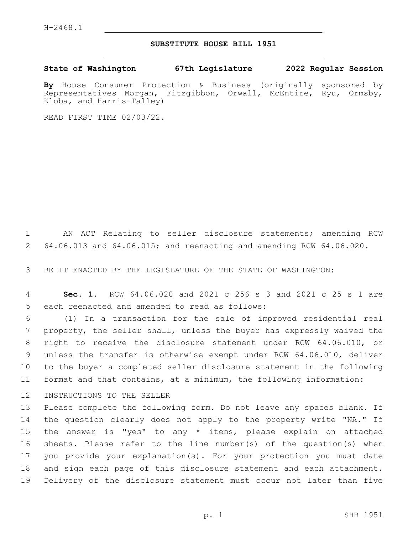## **SUBSTITUTE HOUSE BILL 1951**

**State of Washington 67th Legislature 2022 Regular Session**

**By** House Consumer Protection & Business (originally sponsored by Representatives Morgan, Fitzgibbon, Orwall, McEntire, Ryu, Ormsby, Kloba, and Harris-Talley)

READ FIRST TIME 02/03/22.

1 AN ACT Relating to seller disclosure statements; amending RCW 2 64.06.013 and 64.06.015; and reenacting and amending RCW 64.06.020.

3 BE IT ENACTED BY THE LEGISLATURE OF THE STATE OF WASHINGTON:

4 **Sec. 1.** RCW 64.06.020 and 2021 c 256 s 3 and 2021 c 25 s 1 are 5 each reenacted and amended to read as follows:

 (1) In a transaction for the sale of improved residential real property, the seller shall, unless the buyer has expressly waived the right to receive the disclosure statement under RCW 64.06.010, or unless the transfer is otherwise exempt under RCW 64.06.010, deliver to the buyer a completed seller disclosure statement in the following format and that contains, at a minimum, the following information:

12 INSTRUCTIONS TO THE SELLER

 Please complete the following form. Do not leave any spaces blank. If 14 the question clearly does not apply to the property write "NA." If the answer is "yes" to any \* items, please explain on attached sheets. Please refer to the line number(s) of the question(s) when you provide your explanation(s). For your protection you must date and sign each page of this disclosure statement and each attachment. Delivery of the disclosure statement must occur not later than five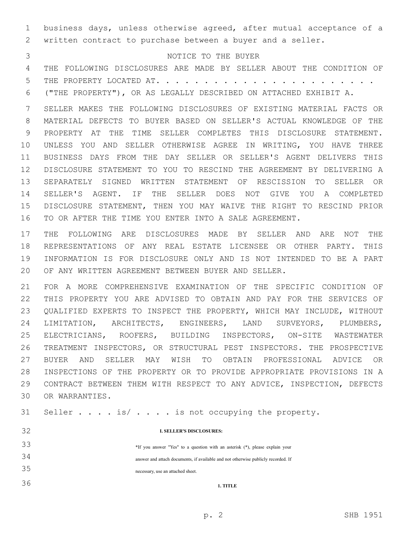business days, unless otherwise agreed, after mutual acceptance of a written contract to purchase between a buyer and a seller.

3 NOTICE TO THE BUYER THE FOLLOWING DISCLOSURES ARE MADE BY SELLER ABOUT THE CONDITION OF THE PROPERTY LOCATED AT. . . . . . . . . . . . . . . . . . . . . . . ("THE PROPERTY"), OR AS LEGALLY DESCRIBED ON ATTACHED EXHIBIT A.

 SELLER MAKES THE FOLLOWING DISCLOSURES OF EXISTING MATERIAL FACTS OR MATERIAL DEFECTS TO BUYER BASED ON SELLER'S ACTUAL KNOWLEDGE OF THE PROPERTY AT THE TIME SELLER COMPLETES THIS DISCLOSURE STATEMENT. UNLESS YOU AND SELLER OTHERWISE AGREE IN WRITING, YOU HAVE THREE BUSINESS DAYS FROM THE DAY SELLER OR SELLER'S AGENT DELIVERS THIS DISCLOSURE STATEMENT TO YOU TO RESCIND THE AGREEMENT BY DELIVERING A SEPARATELY SIGNED WRITTEN STATEMENT OF RESCISSION TO SELLER OR SELLER'S AGENT. IF THE SELLER DOES NOT GIVE YOU A COMPLETED DISCLOSURE STATEMENT, THEN YOU MAY WAIVE THE RIGHT TO RESCIND PRIOR TO OR AFTER THE TIME YOU ENTER INTO A SALE AGREEMENT.

 THE FOLLOWING ARE DISCLOSURES MADE BY SELLER AND ARE NOT THE REPRESENTATIONS OF ANY REAL ESTATE LICENSEE OR OTHER PARTY. THIS INFORMATION IS FOR DISCLOSURE ONLY AND IS NOT INTENDED TO BE A PART OF ANY WRITTEN AGREEMENT BETWEEN BUYER AND SELLER.

 FOR A MORE COMPREHENSIVE EXAMINATION OF THE SPECIFIC CONDITION OF THIS PROPERTY YOU ARE ADVISED TO OBTAIN AND PAY FOR THE SERVICES OF QUALIFIED EXPERTS TO INSPECT THE PROPERTY, WHICH MAY INCLUDE, WITHOUT LIMITATION, ARCHITECTS, ENGINEERS, LAND SURVEYORS, PLUMBERS, ELECTRICIANS, ROOFERS, BUILDING INSPECTORS, ON-SITE WASTEWATER TREATMENT INSPECTORS, OR STRUCTURAL PEST INSPECTORS. THE PROSPECTIVE BUYER AND SELLER MAY WISH TO OBTAIN PROFESSIONAL ADVICE OR INSPECTIONS OF THE PROPERTY OR TO PROVIDE APPROPRIATE PROVISIONS IN A CONTRACT BETWEEN THEM WITH RESPECT TO ANY ADVICE, INSPECTION, DEFECTS 30 OR WARRANTIES.

31 Seller . . . . is/ . . . . is not occupying the property.

| 32 | <b>I. SELLER'S DISCLOSURES:</b>                                                   |
|----|-----------------------------------------------------------------------------------|
| 33 | *If you answer "Yes" to a question with an asterisk (*), please explain your      |
| 34 | answer and attach documents, if available and not otherwise publicly recorded. If |
| 35 | necessary, use an attached sheet.                                                 |
| 36 | 1. TITLE                                                                          |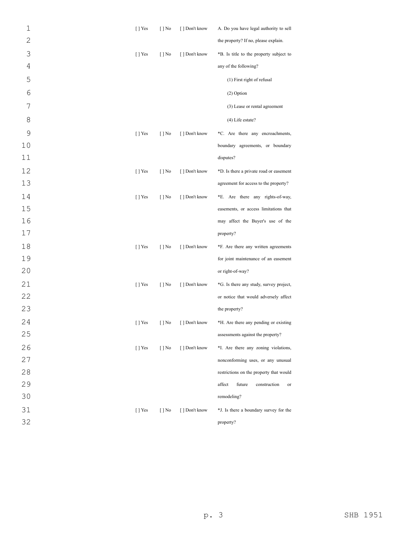| $\mathbf 1$    | $[$ T Yes | $[$   No                 | [ ] Don't know | A. Do you have legal authority to sell  |
|----------------|-----------|--------------------------|----------------|-----------------------------------------|
| $\overline{2}$ |           |                          |                | the property? If no, please explain.    |
| 3              | [] Yes    | $\lceil \cdot \rceil$ No | [ ] Don't know | *B. Is title to the property subject to |
| 4              |           |                          |                | any of the following?                   |
| 5              |           |                          |                | (1) First right of refusal              |
| 6              |           |                          |                | (2) Option                              |
| 7              |           |                          |                | (3) Lease or rental agreement           |
| 8              |           |                          |                | (4) Life estate?                        |
| 9              | $[$ T Yes | $[$ ] No                 | [ ] Don't know | *C. Are there any encroachments,        |
| 10             |           |                          |                | boundary agreements, or boundary        |
| 11             |           |                          |                | disputes?                               |
| 12             | $[$ T Yes | $[$ ] No                 | [ ] Don't know | *D. Is there a private road or easement |
| 13             |           |                          |                | agreement for access to the property?   |
| 14             | $[$ T Yes | $\lceil \cdot \rceil$ No | [ ] Don't know | *E. Are there any rights-of-way,        |
| 15             |           |                          |                | easements, or access limitations that   |
| 16             |           |                          |                | may affect the Buyer's use of the       |
| 17             |           |                          |                | property?                               |
| 18             | [] Yes    | $[$ ] No                 | [ ] Don't know | *F. Are there any written agreements    |
| 19             |           |                          |                | for joint maintenance of an easement    |
| 20             |           |                          |                | or right-of-way?                        |
| 21             | $[$ T Yes | $[$ ] No                 | [ ] Don't know | *G. Is there any study, survey project, |
| 22             |           |                          |                | or notice that would adversely affect   |
| 23             |           |                          |                | the property?                           |
| 24             | [] Yes    | $[ ]$ No                 | [] Don't know  | *H. Are there any pending or existing   |
| 25             |           |                          |                | assessments against the property?       |
| 26             | [ ] Yes   | $\lceil \cdot \rceil$ No | [ ] Don't know | *I. Are there any zoning violations,    |
| 27             |           |                          |                | nonconforming uses, or any unusual      |
| 28             |           |                          |                | restrictions on the property that would |
| 29             |           |                          |                | affect<br>future<br>construction<br>or  |
| 30             |           |                          |                | remodeling?                             |
| 31             | [ ] Yes   | $\lceil \cdot \rceil$ No | [ ] Don't know | *J. Is there a boundary survey for the  |
| 32             |           |                          |                | property?                               |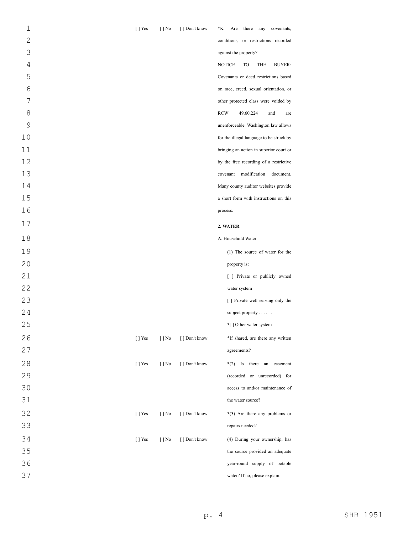| 1              | [] Yes    | $[ ]$ No                 | [ ] Don't know | *K.<br>Are<br>there<br>any<br>covenants, |
|----------------|-----------|--------------------------|----------------|------------------------------------------|
| 2              |           |                          |                | conditions, or restrictions recorded     |
| 3              |           |                          |                | against the property?                    |
| $\overline{4}$ |           |                          |                | <b>NOTICE</b><br>TO<br>THE<br>BUYER:     |
| 5              |           |                          |                | Covenants or deed restrictions based     |
| 6              |           |                          |                | on race, creed, sexual orientation, or   |
| 7              |           |                          |                | other protected class were voided by     |
| 8              |           |                          |                | <b>RCW</b><br>49.60.224<br>and<br>are    |
| 9              |           |                          |                | unenforceable. Washington law allows     |
| 10             |           |                          |                | for the illegal language to be struck by |
| 11             |           |                          |                | bringing an action in superior court or  |
| 12             |           |                          |                | by the free recording of a restrictive   |
| 13             |           |                          |                | modification<br>covenant<br>document.    |
| 14             |           |                          |                | Many county auditor websites provide     |
| 15             |           |                          |                | a short form with instructions on this   |
| 16             |           |                          |                | process.                                 |
| 17             |           |                          |                | 2. WATER                                 |
| 18             |           |                          |                | A. Household Water                       |
| 19             |           |                          |                | (1) The source of water for the          |
| 20             |           |                          |                | property is:                             |
| 21             |           |                          |                | [ ] Private or publicly owned            |
| 22             |           |                          |                | water system                             |
| 23             |           |                          |                | [ ] Private well serving only the        |
| 24             |           |                          |                | subject property $\dots$ .               |
| 25             |           |                          |                | *[] Other water system                   |
| 26             | [ ] Yes   | $\lceil \cdot \rceil$ No | [ ] Don't know | *If shared, are there any written        |
| 27             |           |                          |                | agreements?                              |
| 28             | $[$ ] Yes | $[$   No                 | [ ] Don't know | *(2) Is<br>there an easement             |
| 29             |           |                          |                | (recorded or unrecorded) for             |
| 30             |           |                          |                | access to and/or maintenance of          |
| 31             |           |                          |                | the water source?                        |
| 32             | $[ ]$ Yes | $[ ]$ No                 | [ ] Don't know | $*(3)$ Are there any problems or         |
| 33             |           |                          |                | repairs needed?                          |
|                |           |                          |                |                                          |
| 34             | $[$ T Yes | $[ ]$ No                 | [ ] Don't know | (4) During your ownership, has           |
| 35             |           |                          |                | the source provided an adequate          |
| 36             |           |                          |                | year-round supply of potable             |
| 37             |           |                          |                | water? If no, please explain.            |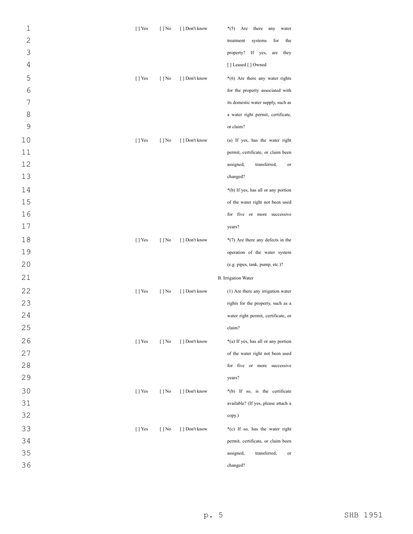| $\mathbf 1$    | [] Yes    | $[ ]$ No                 | [] Don't know  | $*(5)$ Are<br>there any<br>water    |
|----------------|-----------|--------------------------|----------------|-------------------------------------|
| $\overline{c}$ |           |                          |                | treatment<br>for<br>the<br>systems  |
| 3              |           |                          |                | property?<br>If yes,<br>they<br>are |
| 4              |           |                          |                | [] Leased [] Owned                  |
| 5              | $[$ T Yes | $[ ]$ No                 | [] Don't know  | *(6) Are there any water rights     |
| 6              |           |                          |                | for the property associated with    |
| 7              |           |                          |                | its domestic water supply, such as  |
| 8              |           |                          |                | a water right permit, certificate,  |
| $\mathcal{G}$  |           |                          |                | or claim?                           |
| 10             | $[$ ] Yes | $[ ]$ No                 | [ ] Don't know | (a) If yes, has the water right     |
| 11             |           |                          |                | permit, certificate, or claim been  |
| 12             |           |                          |                | transferred,<br>assigned,<br>or     |
| 13             |           |                          |                | changed?                            |
| 14             |           |                          |                | *(b) If yes, has all or any portion |
| 15             |           |                          |                | of the water right not been used    |
| 16             |           |                          |                | for five or more successive         |
| 17             |           |                          |                | years?                              |
| 18             | $[$ T Yes | $[ ]$ No                 | [] Don't know  | $*(7)$ Are there any defects in the |
| 19             |           |                          |                | operation of the water system       |
| $20$           |           |                          |                | (e.g. pipes, tank, pump, etc.)?     |
| 21             |           |                          |                | <b>B.</b> Irrigation Water          |
| 22             | $[$ T Yes | $\lceil \cdot \rceil$ No | [] Don't know  | (1) Are there any irrigation water  |
| 23             |           |                          |                | rights for the property, such as a  |
| 24             |           |                          |                | water right permit, certificate, or |
| 25             |           |                          |                | claim?                              |
| 26             | $[$ T Yes | $\lceil \cdot \rceil$ No | [] Don't know  | *(a) If yes, has all or any portion |
| 27             |           |                          |                | of the water right not been used    |
| 28             |           |                          |                | for five or more successive         |
| 29             |           |                          |                | years?                              |
| 30             | $[$ T Yes | $\lceil \cdot \rceil$ No | [ ] Don't know | *(b) If so, is the certificate      |
| 31             |           |                          |                | available? (If yes, please attach a |
| 32             |           |                          |                | copy.)                              |
| 33             | $[$ T Yes | $[ ]$ No                 | [] Don't know  | *(c) If so, has the water right     |
| 34             |           |                          |                | permit, certificate, or claim been  |
| 35             |           |                          |                | assigned,<br>transferred,<br>or     |
| 36             |           |                          |                | changed?                            |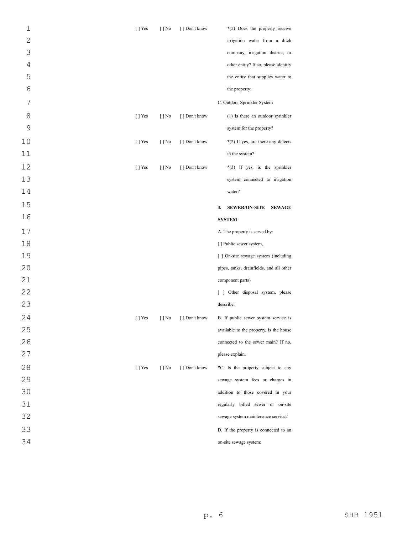| $\mathbf{1}$   | $[$ ] Yes | $[$   No                 | [ ] Don't know | $*(2)$ Does the property receive            |
|----------------|-----------|--------------------------|----------------|---------------------------------------------|
| $\overline{2}$ |           |                          |                | irrigation water from a ditch               |
| 3              |           |                          |                | company, irrigation district, or            |
| $\sqrt{4}$     |           |                          |                | other entity? If so, please identify        |
| 5              |           |                          |                | the entity that supplies water to           |
| 6              |           |                          |                | the property:                               |
| 7              |           |                          |                | C. Outdoor Sprinkler System                 |
| 8              | $[$ ] Yes | $[$ ] No                 | [ ] Don't know | (1) Is there an outdoor sprinkler           |
| 9              |           |                          |                | system for the property?                    |
| 10             | $[$ T Yes | $[ ]$ No                 | [ ] Don't know | *(2) If yes, are there any defects          |
| 11             |           |                          |                | in the system?                              |
| 12             | $[$ T Yes | $\lceil \cdot \rceil$ No | [] Don't know  | *(3) If yes, is the sprinkler               |
| 13             |           |                          |                | system connected to irrigation              |
| 14             |           |                          |                | water?                                      |
| 15             |           |                          |                | <b>SEWER/ON-SITE</b><br><b>SEWAGE</b><br>3. |
| 16             |           |                          |                | <b>SYSTEM</b>                               |
| 17             |           |                          |                | A. The property is served by:               |
| 18             |           |                          |                | [] Public sewer system,                     |
| 19             |           |                          |                | [ ] On-site sewage system (including        |
| 20             |           |                          |                | pipes, tanks, drainfields, and all other    |
| 21             |           |                          |                | component parts)                            |
| 22             |           |                          |                | [ ] Other disposal system, please           |
| 23             |           |                          |                | describe:                                   |
| 24             | $[$ T Yes | $[$ ] No                 | [] Don't know  | B. If public sewer system service is        |
| 25             |           |                          |                | available to the property, is the house     |
| 26             |           |                          |                | connected to the sewer main? If no,         |
| 27             |           |                          |                | please explain.                             |
| 28             | $[$ ] Yes | $\lceil \cdot \rceil$ No | [ ] Don't know | *C. Is the property subject to any          |
| 29             |           |                          |                | sewage system fees or charges in            |
| 30             |           |                          |                | addition to those covered in your           |
| 31             |           |                          |                | regularly billed sewer or on-site           |
| 32             |           |                          |                | sewage system maintenance service?          |
| 33             |           |                          |                | D. If the property is connected to an       |
| 34             |           |                          |                | on-site sewage system:                      |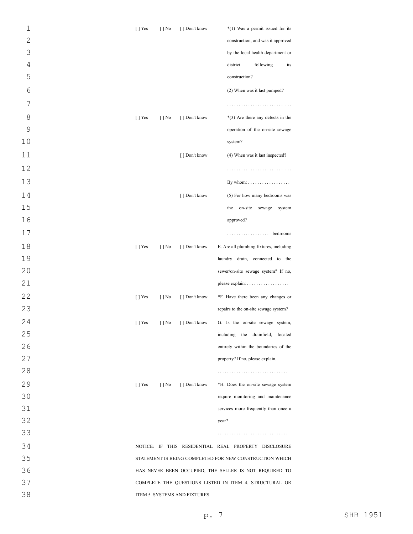| 1              | $[ ]$ Yes      | $[ ]$ No                 | [ ] Don't know               | *(1) Was a permit issued for its                        |
|----------------|----------------|--------------------------|------------------------------|---------------------------------------------------------|
| $\overline{2}$ |                |                          |                              | construction, and was it approved                       |
| 3              |                |                          |                              | by the local health department or                       |
| 4              |                |                          |                              | district<br>following<br>its                            |
| 5              |                |                          |                              | construction?                                           |
| 6              |                |                          |                              | (2) When was it last pumped?                            |
| 7              |                |                          |                              | .                                                       |
| 8              | $[ ]$ Yes      | $[$ No                   | [ ] Don't know               | $*(3)$ Are there any defects in the                     |
| 9              |                |                          |                              | operation of the on-site sewage                         |
| 10             |                |                          |                              | system?                                                 |
| 11             |                |                          | [ ] Don't know               | (4) When was it last inspected?                         |
| 12             |                |                          |                              |                                                         |
| 13             |                |                          |                              | By whom: $\dots \dots \dots \dots \dots \dots$          |
| 14             |                |                          | [ ] Don't know               | (5) For how many bedrooms was                           |
| 15             |                |                          |                              | the<br>on-site sewage<br>system                         |
| 16             |                |                          |                              | approved?                                               |
| 17             |                |                          |                              | . bedrooms                                              |
| 18             | $[ ]$ Yes      | $[ ]$ No                 | [ ] Don't know               | E. Are all plumbing fixtures, including                 |
| 19             |                |                          |                              | laundry drain, connected to the                         |
| 20             |                |                          |                              | sewer/on-site sewage system? If no,                     |
| 21             |                |                          |                              |                                                         |
| 22             | $[ ]$ Yes      | $[ ]$ No                 | [ ] Don't know               | *F. Have there been any changes or                      |
| 23             |                |                          |                              | repairs to the on-site sewage system?                   |
| 24             | [ ] Yes        | $\left[\ \right]$ No     | [ ] Don't know               | G. Is the on-site sewage system,                        |
| 25             |                |                          |                              | including the drainfield, located                       |
| 26             |                |                          |                              | entirely within the boundaries of the                   |
| 27             |                |                          |                              | property? If no, please explain.                        |
| 28             |                |                          |                              |                                                         |
| 29             | $\lceil$   Yes | $\lceil \cdot \rceil$ No | [] Don't know                | *H. Does the on-site sewage system                      |
| 30             |                |                          |                              | require monitoring and maintenance                      |
| 31             |                |                          |                              | services more frequently than once a                    |
| 32             |                |                          |                              | year?                                                   |
| 33             |                |                          |                              |                                                         |
| 34             |                |                          |                              | NOTICE: IF THIS RESIDENTIAL REAL PROPERTY DISCLOSURE    |
| 35             |                |                          |                              | STATEMENT IS BEING COMPLETED FOR NEW CONSTRUCTION WHICH |
| 36             |                |                          |                              | HAS NEVER BEEN OCCUPIED, THE SELLER IS NOT REQUIRED TO  |
| 37             |                |                          |                              | COMPLETE THE QUESTIONS LISTED IN ITEM 4. STRUCTURAL OR  |
| 38             |                |                          | ITEM 5. SYSTEMS AND FIXTURES |                                                         |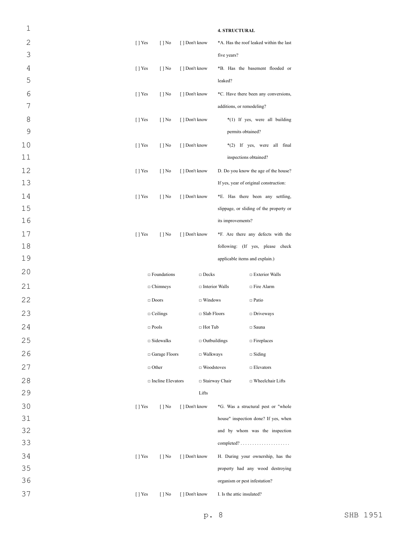| 1              |           |                          |                |                     | <b>4. STRUCTURAL</b>           |                                                        |
|----------------|-----------|--------------------------|----------------|---------------------|--------------------------------|--------------------------------------------------------|
| $\mathbf{2}$   | $[ ]$ Yes | $\lceil \cdot \rceil$ No | [ ] Don't know |                     |                                | *A. Has the roof leaked within the last                |
| 3              |           |                          |                |                     | five years?                    |                                                        |
| $\overline{4}$ | [] Yes    | $[ ]$ No                 | [ ] Don't know |                     |                                | *B. Has the basement flooded or                        |
| 5              |           |                          |                |                     | leaked?                        |                                                        |
| 6              | $[$ ] Yes | $[ ]$ No                 | [ ] Don't know |                     |                                | *C. Have there been any conversions,                   |
| 7              |           |                          |                |                     | additions, or remodeling?      |                                                        |
| 8              | [] Yes    | $[ ]$ No                 | [ ] Don't know |                     |                                | *(1) If yes, were all building                         |
| 9              |           |                          |                |                     | permits obtained?              |                                                        |
| 10             | [] Yes    | $[ ]$ No                 | [ ] Don't know |                     |                                | *(2) If yes, were all final                            |
| 11             |           |                          |                |                     | inspections obtained?          |                                                        |
| 12             | $[$ T Yes | $[ ]$ No                 | [ ] Don't know |                     |                                | D. Do you know the age of the house?                   |
| 13             |           |                          |                |                     |                                | If yes, year of original construction:                 |
| 14             | $[ ]$ Yes | $[ ]$ No                 | [ ] Don't know |                     |                                | *E. Has there been any settling,                       |
| 15             |           |                          |                |                     |                                | slippage, or sliding of the property or                |
| 16             |           |                          |                |                     | its improvements?              |                                                        |
| 17             | [] Yes    | $[ ]$ No                 | [ ] Don't know |                     |                                | *F. Are there any defects with the                     |
| 18             |           |                          |                |                     |                                | following: (If yes, please check                       |
| 19             |           |                          |                |                     | applicable items and explain.) |                                                        |
| 20             |           | $\Box$ Foundations       |                | $\Box$ Decks        |                                | □ Exterior Walls                                       |
| 21             |           | $\Box$ Chimneys          |                | □ Interior Walls    |                                | $\Box$ Fire Alarm                                      |
| 22             |           | $\Box$ Doors             |                | $\Box$ Windows      |                                | $\Box$ Patio                                           |
| 23             |           | $\Box$ Ceilings          |                | $\Box$ Slab Floors  |                                | $\Box$ Driveways                                       |
| 24             |           | $\Box$ Pools             |                | $\Box$ Hot Tub      |                                | $\Box$ Sauna                                           |
| 25             |           | $\Box$ Sidewalks         |                | $\Box$ Outbuildings |                                | $\Box$ Fireplaces                                      |
| 26             |           | □ Garage Floors          |                | $\Box$ Walkways     |                                | $\Box$ Siding                                          |
| 27             |           | $\Box$ Other             |                | $\Box$ Woodstoves   |                                | $\Box$ Elevators                                       |
| 28             |           | □ Incline Elevators      |                | □ Stairway Chair    |                                | □ Wheelchair Lifts                                     |
| 29             |           |                          |                | Lifts               |                                |                                                        |
| 30             | $[ ]$ Yes | $[ ]$ No                 | [ ] Don't know |                     |                                | *G. Was a structural pest or "whole                    |
| 31             |           |                          |                |                     |                                | house" inspection done? If yes, when                   |
| 32             |           |                          |                |                     |                                | and by whom was the inspection                         |
| 33             |           |                          |                |                     |                                | $completed? \ldots \ldots \ldots \ldots \ldots \ldots$ |
| 34             | $[ ]$ Yes | $[ ]$ No                 | [ ] Don't know |                     |                                | H. During your ownership, has the                      |
| 35             |           |                          |                |                     |                                | property had any wood destroying                       |
| 36             |           |                          |                |                     | organism or pest infestation?  |                                                        |
| 37             | $[$ T Yes | $[ ]$ No                 | [ ] Don't know |                     | I. Is the attic insulated?     |                                                        |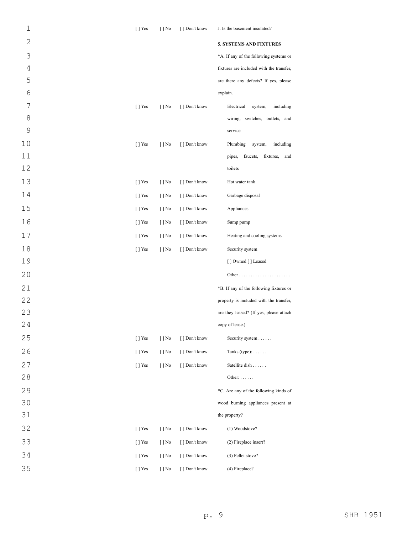| $1\,$        | $\lceil$   Yes | $\lceil \cdot \rceil$ No | [ ] Don't know | J. Is the basement insulated?            |
|--------------|----------------|--------------------------|----------------|------------------------------------------|
| $\mathbf{2}$ |                |                          |                | <b>5. SYSTEMS AND FIXTURES</b>           |
| 3            |                |                          |                | *A. If any of the following systems or   |
| $\sqrt{4}$   |                |                          |                | fixtures are included with the transfer, |
| 5            |                |                          |                | are there any defects? If yes, please    |
| 6            |                |                          |                | explain.                                 |
| 7            | $[$ T Yes      | $[$ ] No                 | [ ] Don't know | Electrical<br>system,<br>including       |
| 8            |                |                          |                | wiring, switches, outlets, and           |
| 9            |                |                          |                | service                                  |
| 10           | $[$ T Yes      | $[ ]$ No                 | [ ] Don't know | Plumbing<br>system,<br>including         |
| 11           |                |                          |                | pipes, faucets,<br>fixtures, and         |
| 12           |                |                          |                | toilets                                  |
| 13           | $[$ ] Yes      | $[$ ] No                 | [ ] Don't know | Hot water tank                           |
| 14           | $[$ T Yes      | $[$ ] No                 | [] Don't know  | Garbage disposal                         |
| 15           | $[$ T Yes      | $[ ]$ No                 | [ ] Don't know | Appliances                               |
| 16           | $[$ T Yes      | $[$ ] No                 | [ ] Don't know | Sump pump                                |
| 17           | $[$ T Yes      | $[$ ] No                 | [ ] Don't know | Heating and cooling systems              |
| 18           | $[ ]$ Yes      | $[ ]$ No                 | [ ] Don't know | Security system                          |
| 19           |                |                          |                | [] Owned [] Leased                       |
| 20           |                |                          |                |                                          |
| 21           |                |                          |                | *B. If any of the following fixtures or  |
| 22           |                |                          |                | property is included with the transfer,  |
| 23           |                |                          |                | are they leased? (If yes, please attach  |
| 24           |                |                          |                | copy of lease.)                          |
| 25           | [] Yes         | $[ ]$ No                 | [ ] Don't know | Security system                          |
| 26           | [] Yes         | $[ ]$ No                 | [ ] Don't know | Tanks (type): $\dots$ .                  |
| 27           | $[$ T Yes      | $[ ]$ No                 | [] Don't know  | Satellite dish                           |
| 28           |                |                          |                | Other: $\dots$                           |
| 29           |                |                          |                | *C. Are any of the following kinds of    |
| 30           |                |                          |                | wood burning appliances present at       |
| 31           |                |                          |                | the property?                            |
| 32           | [] Yes         | $[ ]$ No                 | [ ] Don't know | (1) Woodstove?                           |
| 33           | $[$ T Yes      | $[$ ] No                 | [ ] Don't know | (2) Fireplace insert?                    |
| 34           | [ ] Yes        | $[ ]$ No                 | [ ] Don't know | (3) Pellet stove?                        |
| 35           | [ ] Yes        | $[ ]$ No                 | [] Don't know  | (4) Fireplace?                           |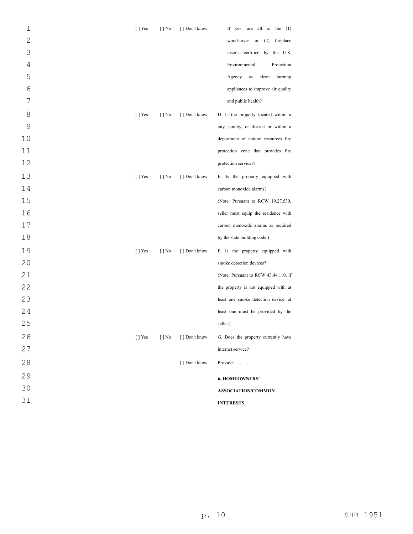| 1              | $[$ T Yes | $\lceil \cdot \rceil$ No | [ ] Don't know | If yes, are all of the $(1)$          |
|----------------|-----------|--------------------------|----------------|---------------------------------------|
| $\overline{c}$ |           |                          |                | woodstoves or (2) fireplace           |
| $\mathfrak{Z}$ |           |                          |                | inserts certified by the U.S.         |
| $\sqrt{4}$     |           |                          |                | Environmental<br>Protection           |
| 5              |           |                          |                | Agency<br>clean<br>burning<br>as      |
| 6              |           |                          |                | appliances to improve air quality     |
| 7              |           |                          |                | and public health?                    |
| 8              | $[$ T Yes | $[$ ] No                 | [ ] Don't know | D. Is the property located within a   |
| $\mathcal{G}$  |           |                          |                | city, county, or district or within a |
| 10             |           |                          |                | department of natural resources fire  |
| 11             |           |                          |                | protection zone that provides fire    |
| 12             |           |                          |                | protection services?                  |
| 13             | $[ ]$ Yes | $[$ ] No                 | [ ] Don't know | E. Is the property equipped with      |
| 14             |           |                          |                | carbon monoxide alarms?               |
| 15             |           |                          |                | (Note: Pursuant to RCW 19.27.530,     |
| 16             |           |                          |                | seller must equip the residence with  |
| 17             |           |                          |                | carbon monoxide alarms as required    |
| 18             |           |                          |                | by the state building code.)          |
| 19             | $[$ T Yes | $[$ ] No                 | [ ] Don't know | F. Is the property equipped with      |
| 20             |           |                          |                | smoke detection devices?              |
| 21             |           |                          |                | (Note: Pursuant to RCW 43.44.110, if  |
| 22             |           |                          |                | the property is not equipped with at  |
| 23             |           |                          |                | least one smoke detection device, at  |
| 24             |           |                          |                | least one must be provided by the     |
| 25             |           |                          |                | seller.)                              |
| 26             | [ ] Yes   | $[ ]$ No                 | [] Don't know  | G. Does the property currently have   |
| 27             |           |                          |                | internet service?                     |
| 28             |           |                          | [] Don't know  | Provider                              |
| 29             |           |                          |                | <b>6. HOMEOWNERS'</b>                 |
| 30             |           |                          |                | ASSOCIATION/COMMON                    |
| 31             |           |                          |                | <b>INTERESTS</b>                      |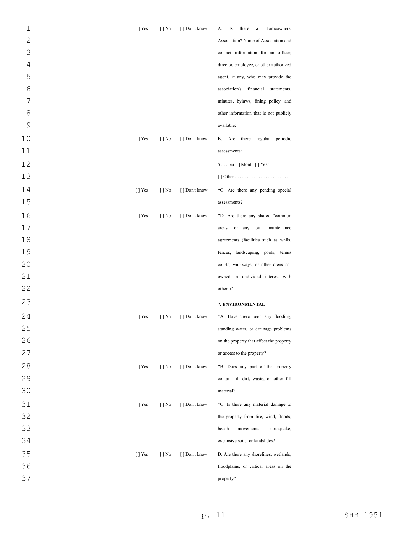| $\mathbf 1$  | $[$ T Yes | $\lceil \cdot \rceil$ No | [ ] Don't know | Homeowners'<br>Is<br>there<br>$\rm{a}$<br>А. |
|--------------|-----------|--------------------------|----------------|----------------------------------------------|
| $\mathbf{2}$ |           |                          |                | Association? Name of Association and         |
| 3            |           |                          |                | contact information for an officer,          |
| $\sqrt{4}$   |           |                          |                | director, employee, or other authorized      |
| 5            |           |                          |                | agent, if any, who may provide the           |
| $\sqrt{6}$   |           |                          |                | association's<br>financial<br>statements,    |
| 7            |           |                          |                | minutes, bylaws, fining policy, and          |
| 8            |           |                          |                | other information that is not publicly       |
| 9            |           |                          |                | available:                                   |
| 10           | $[$ T Yes | $\lceil \cdot \rceil$ No | [ ] Don't know | Are there regular periodic<br>В.             |
| 11           |           |                          |                | assessments:                                 |
| 12           |           |                          |                | \$per [] Month [] Year                       |
| 13           |           |                          |                | $\left[\right]$ Other                        |
| 14           | $[$ T Yes | $\lceil \cdot \rceil$ No | [] Don't know  | *C. Are there any pending special            |
| 15           |           |                          |                | assessments?                                 |
| 16           | $[$ T Yes | $\lceil \cdot \rceil$ No | [ ] Don't know | *D. Are there any shared "common             |
| 17           |           |                          |                | areas" or any joint maintenance              |
| 18           |           |                          |                | agreements (facilities such as walls,        |
| 19           |           |                          |                | fences, landscaping, pools, tennis           |
| 20           |           |                          |                | courts, walkways, or other areas co-         |
| 21           |           |                          |                | owned in undivided interest with             |
| 22           |           |                          |                | others)?                                     |
| 23           |           |                          |                | 7. ENVIRONMENTAL                             |
| 24           | $[$ T Yes | $[ ]$ No                 | [ ] Don't know | *A. Have there been any flooding,            |
| 25           |           |                          |                | standing water, or drainage problems         |
| 26           |           |                          |                | on the property that affect the property     |
| 27           |           |                          |                | or access to the property?                   |
| 28           | [] Yes    | $\lceil \cdot \rceil$ No | [] Don't know  | *B. Does any part of the property            |
| 29           |           |                          |                | contain fill dirt, waste, or other fill      |
| 30           |           |                          |                | material?                                    |
| 31           | $[ ]$ Yes | $[ ]$ No                 | [ ] Don't know | *C. Is there any material damage to          |
| 32           |           |                          |                | the property from fire, wind, floods,        |
| 33           |           |                          |                | beach<br>earthquake,<br>movements,           |
| 34           |           |                          |                | expansive soils, or landslides?              |
| 35           | [] Yes    | $[$ ] No                 | [ ] Don't know | D. Are there any shorelines, wetlands,       |
| 36           |           |                          |                | floodplains, or critical areas on the        |
| 37           |           |                          |                | property?                                    |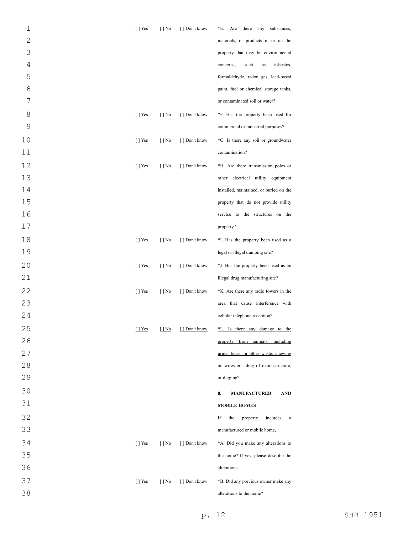| $\mathbf 1$     | [] Yes     | $[$ ] No                 | [ ] Don't know | *E.<br>Are there any<br>substances,     |
|-----------------|------------|--------------------------|----------------|-----------------------------------------|
| $\overline{2}$  |            |                          |                | materials, or products in or on the     |
| 3               |            |                          |                | property that may be environmental      |
| $\overline{4}$  |            |                          |                | such<br>asbestos,<br>concerns,<br>as    |
| 5               |            |                          |                | formaldehyde, radon gas, lead-based     |
| $6\phantom{1}6$ |            |                          |                | paint, fuel or chemical storage tanks,  |
| 7               |            |                          |                | or contaminated soil or water?          |
| 8               | $[$ T Yes  | $[$ ] No                 | [ ] Don't know | *F. Has the property been used for      |
| 9               |            |                          |                | commercial or industrial purposes?      |
| 10              | $[$ T Yes  | $\lceil \cdot \rceil$ No | [ ] Don't know | *G. Is there any soil or groundwater    |
| 11              |            |                          |                | contamination?                          |
| 12              | $[$ T Yes  | $[$ ] No                 | [ ] Don't know | *H. Are there transmission poles or     |
| 13              |            |                          |                | other electrical utility equipment      |
| 14              |            |                          |                | installed, maintained, or buried on the |
| 15              |            |                          |                | property that do not provide utility    |
| 16              |            |                          |                | service to the structures on the        |
| 17              |            |                          |                | property?                               |
| 18              | $[$ T Yes  | $[$ ] No                 | [ ] Don't know | *I. Has the property been used as a     |
| 19              |            |                          |                | legal or illegal dumping site?          |
| 20              | $[$ T Yes  | $\lceil \cdot \rceil$ No | [ ] Don't know | *J. Has the property been used as an    |
| 21              |            |                          |                | illegal drug manufacturing site?        |
| 22              | $[$ T Yes  | $[$ ] No                 | [ ] Don't know | *K. Are there any radio towers in the   |
| 23              |            |                          |                | area that cause interference with       |
| 24              |            |                          |                | cellular telephone reception?           |
| 25              | $\Box$ Yes | $\Box$ No                | [] Don't know  | *L. Is there any damage to the          |
| 26              |            |                          |                | property from animals, including        |
| 27              |            |                          |                | urine, feces, or other waste; chewing   |
| 28              |            |                          |                | on wires or siding of main structure;   |
| 29              |            |                          |                | or digging?                             |
| 30              |            |                          |                | 8.<br><b>MANUFACTURED</b><br>AND        |
| 31              |            |                          |                | <b>MOBILE HOMES</b>                     |
| 32              |            |                          |                | If<br>the<br>includes<br>property<br>a  |
| 33              |            |                          |                | manufactured or mobile home,            |
| 34              | $[$ T Yes  | $\lceil \cdot \rceil$ No | [ ] Don't know | *A. Did you make any alterations to     |
| 35              |            |                          |                | the home? If yes, please describe the   |
| 36              |            |                          |                | alterations:                            |
| 37              | $[ ]$ Yes  | $[ ]$ No                 | [ ] Don't know | *B. Did any previous owner make any     |
| 38              |            |                          |                | alterations to the home?                |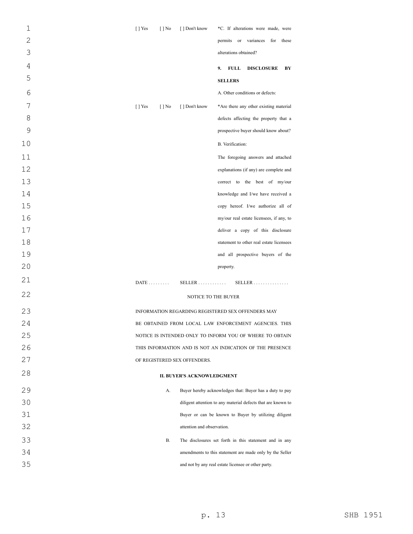| 1              | $[$ T Yes | $[ ]$ No | [ ] Don't know                    | *C. If alterations were made, were                           |
|----------------|-----------|----------|-----------------------------------|--------------------------------------------------------------|
| $\overline{2}$ |           |          |                                   | permits or variances for these                               |
| 3              |           |          |                                   | alterations obtained?                                        |
| $\overline{4}$ |           |          |                                   | <b>FULL</b><br>9.<br><b>DISCLOSURE</b><br>BY                 |
| 5              |           |          |                                   | <b>SELLERS</b>                                               |
| 6              |           |          |                                   | A. Other conditions or defects:                              |
| 7              | $[$ ] Yes | $[ ]$ No | [ ] Don't know                    | *Are there any other existing material                       |
| 8              |           |          |                                   | defects affecting the property that a                        |
| 9              |           |          |                                   | prospective buyer should know about?                         |
| 10             |           |          |                                   | B. Verification:                                             |
| 11             |           |          |                                   | The foregoing answers and attached                           |
| 12             |           |          |                                   | explanations (if any) are complete and                       |
| 13             |           |          |                                   | correct to the best of my/our                                |
| 14             |           |          |                                   | knowledge and I/we have received a                           |
| 15             |           |          |                                   | copy hereof. I/we authorize all of                           |
| 16             |           |          |                                   | my/our real estate licensees, if any, to                     |
| 17             |           |          |                                   | deliver a copy of this disclosure                            |
| 18             |           |          |                                   | statement to other real estate licensees                     |
| 19             |           |          |                                   | and all prospective buyers of the                            |
| 20             |           |          |                                   | property.                                                    |
| 21             | $DATE$    |          | SELLER                            | $SELECT R$                                                   |
| 22             |           |          | NOTICE TO THE BUYER               |                                                              |
| 23             |           |          |                                   | INFORMATION REGARDING REGISTERED SEX OFFENDERS MAY           |
| 24             |           |          |                                   | BE OBTAINED FROM LOCAL LAW ENFORCEMENT AGENCIES. THIS        |
| 25             |           |          |                                   | NOTICE IS INTENDED ONLY TO INFORM YOU OF WHERE TO OBTAIN     |
| 26             |           |          |                                   | THIS INFORMATION AND IS NOT AN INDICATION OF THE PRESENCE    |
| 27             |           |          | OF REGISTERED SEX OFFENDERS.      |                                                              |
| 28             |           |          | <b>II. BUYER'S ACKNOWLEDGMENT</b> |                                                              |
| 29             |           | А.       |                                   | Buyer hereby acknowledges that: Buyer has a duty to pay      |
| 30             |           |          |                                   | diligent attention to any material defects that are known to |
| 31             |           |          |                                   | Buyer or can be known to Buyer by utilizing diligent         |
| 32             |           |          | attention and observation.        |                                                              |
| 33             |           | В.       |                                   | The disclosures set forth in this statement and in any       |
| 34             |           |          |                                   | amendments to this statement are made only by the Seller     |
| 35             |           |          |                                   | and not by any real estate licensee or other party.          |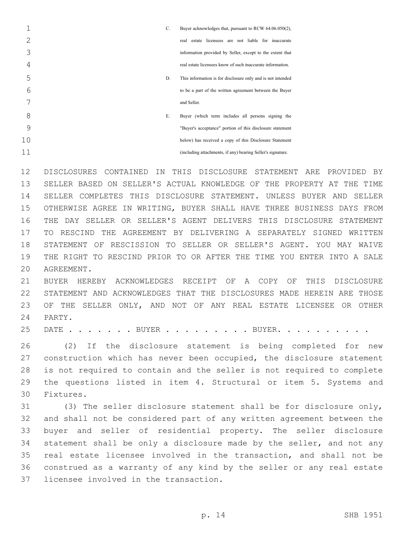|    | C. | Buyer acknowledges that, pursuant to RCW 64.06.050(2),      |
|----|----|-------------------------------------------------------------|
| 2  |    | real estate licensees are not liable for inaccurate         |
| 3  |    | information provided by Seller, except to the extent that   |
| 4  |    | real estate licensees know of such inaccurate information.  |
| 5  | D. | This information is for disclosure only and is not intended |
| 6  |    | to be a part of the written agreement between the Buyer     |
| 7  |    | and Seller.                                                 |
| 8  | Ε. | Buyer (which term includes all persons signing the          |
| 9  |    | "Buyer's acceptance" portion of this disclosure statement   |
| 10 |    | below) has received a copy of this Disclosure Statement     |
| 11 |    | (including attachments, if any) bearing Seller's signature. |

 DISCLOSURES CONTAINED IN THIS DISCLOSURE STATEMENT ARE PROVIDED BY SELLER BASED ON SELLER'S ACTUAL KNOWLEDGE OF THE PROPERTY AT THE TIME SELLER COMPLETES THIS DISCLOSURE STATEMENT. UNLESS BUYER AND SELLER OTHERWISE AGREE IN WRITING, BUYER SHALL HAVE THREE BUSINESS DAYS FROM THE DAY SELLER OR SELLER'S AGENT DELIVERS THIS DISCLOSURE STATEMENT TO RESCIND THE AGREEMENT BY DELIVERING A SEPARATELY SIGNED WRITTEN STATEMENT OF RESCISSION TO SELLER OR SELLER'S AGENT. YOU MAY WAIVE THE RIGHT TO RESCIND PRIOR TO OR AFTER THE TIME YOU ENTER INTO A SALE 20 AGREEMENT.

 BUYER HEREBY ACKNOWLEDGES RECEIPT OF A COPY OF THIS DISCLOSURE STATEMENT AND ACKNOWLEDGES THAT THE DISCLOSURES MADE HEREIN ARE THOSE OF THE SELLER ONLY, AND NOT OF ANY REAL ESTATE LICENSEE OR OTHER 24 PARTY.

25 DATE . . . . . . BUYER . . . . . . . . BUYER. . .

 (2) If the disclosure statement is being completed for new construction which has never been occupied, the disclosure statement is not required to contain and the seller is not required to complete the questions listed in item 4. Structural or item 5. Systems and Fixtures.30

 (3) The seller disclosure statement shall be for disclosure only, and shall not be considered part of any written agreement between the buyer and seller of residential property. The seller disclosure 34 statement shall be only a disclosure made by the seller, and not any real estate licensee involved in the transaction, and shall not be construed as a warranty of any kind by the seller or any real estate 37 licensee involved in the transaction.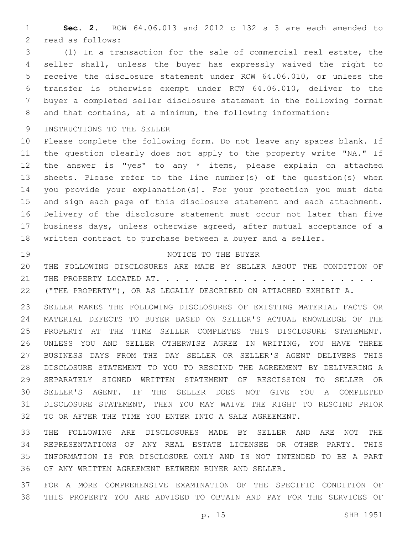**Sec. 2.** RCW 64.06.013 and 2012 c 132 s 3 are each amended to 2 read as follows:

 (1) In a transaction for the sale of commercial real estate, the seller shall, unless the buyer has expressly waived the right to receive the disclosure statement under RCW 64.06.010, or unless the transfer is otherwise exempt under RCW 64.06.010, deliver to the buyer a completed seller disclosure statement in the following format and that contains, at a minimum, the following information:

9 INSTRUCTIONS TO THE SELLER

 Please complete the following form. Do not leave any spaces blank. If 11 the question clearly does not apply to the property write "NA." If the answer is "yes" to any \* items, please explain on attached sheets. Please refer to the line number(s) of the question(s) when you provide your explanation(s). For your protection you must date and sign each page of this disclosure statement and each attachment. Delivery of the disclosure statement must occur not later than five business days, unless otherwise agreed, after mutual acceptance of a written contract to purchase between a buyer and a seller.

## 19 NOTICE TO THE BUYER

 THE FOLLOWING DISCLOSURES ARE MADE BY SELLER ABOUT THE CONDITION OF THE PROPERTY LOCATED AT. . . . . . . . . . . . . . . . . . . . . . . ("THE PROPERTY"), OR AS LEGALLY DESCRIBED ON ATTACHED EXHIBIT A.

 SELLER MAKES THE FOLLOWING DISCLOSURES OF EXISTING MATERIAL FACTS OR MATERIAL DEFECTS TO BUYER BASED ON SELLER'S ACTUAL KNOWLEDGE OF THE PROPERTY AT THE TIME SELLER COMPLETES THIS DISCLOSURE STATEMENT. UNLESS YOU AND SELLER OTHERWISE AGREE IN WRITING, YOU HAVE THREE BUSINESS DAYS FROM THE DAY SELLER OR SELLER'S AGENT DELIVERS THIS DISCLOSURE STATEMENT TO YOU TO RESCIND THE AGREEMENT BY DELIVERING A SEPARATELY SIGNED WRITTEN STATEMENT OF RESCISSION TO SELLER OR SELLER'S AGENT. IF THE SELLER DOES NOT GIVE YOU A COMPLETED DISCLOSURE STATEMENT, THEN YOU MAY WAIVE THE RIGHT TO RESCIND PRIOR TO OR AFTER THE TIME YOU ENTER INTO A SALE AGREEMENT.

 THE FOLLOWING ARE DISCLOSURES MADE BY SELLER AND ARE NOT THE REPRESENTATIONS OF ANY REAL ESTATE LICENSEE OR OTHER PARTY. THIS INFORMATION IS FOR DISCLOSURE ONLY AND IS NOT INTENDED TO BE A PART OF ANY WRITTEN AGREEMENT BETWEEN BUYER AND SELLER.

 FOR A MORE COMPREHENSIVE EXAMINATION OF THE SPECIFIC CONDITION OF THIS PROPERTY YOU ARE ADVISED TO OBTAIN AND PAY FOR THE SERVICES OF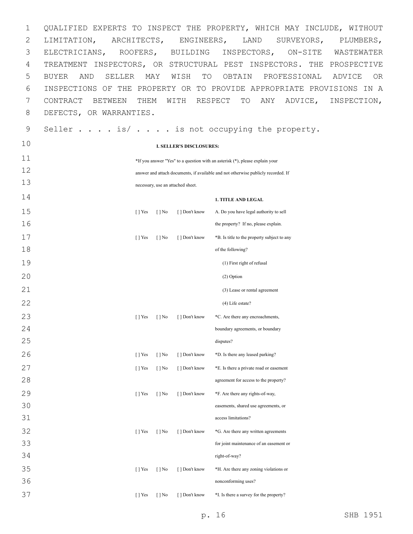1 QUALIFIED EXPERTS TO INSPECT THE PROPERTY, WHICH MAY INCLUDE, WITHOUT 2 LIMITATION, ARCHITECTS, ENGINEERS, LAND SURVEYORS, PLUMBERS, 3 ELECTRICIANS, ROOFERS, BUILDING INSPECTORS, ON-SITE WASTEWATER 4 TREATMENT INSPECTORS, OR STRUCTURAL PEST INSPECTORS. THE PROSPECTIVE 5 BUYER AND SELLER MAY WISH TO OBTAIN PROFESSIONAL ADVICE OR 6 INSPECTIONS OF THE PROPERTY OR TO PROVIDE APPROPRIATE PROVISIONS IN A 7 CONTRACT BETWEEN THEM WITH RESPECT TO ANY ADVICE, INSPECTION, 8 DEFECTS, OR WARRANTIES. 9 Seller . . . . is/ . . . . is not occupying the property. 10 **I. SELLER'S DISCLOSURES:** 11 12 13 \*If you answer "Yes" to a question with an asterisk (\*), please explain your answer and attach documents, if available and not otherwise publicly recorded. If necessary, use an attached sheet. 14 **1. TITLE AND LEGAL** 15 16 [ ] Yes [ ] No [ ] Don't know A. Do you have legal authority to sell the property? If no, please explain. 17 18 [ ] Yes [ ] No [ ] Don't know \*B. Is title to the property subject to any of the following? 19 (1) First right of refusal 20 (2) Option 21 (3) Lease or rental agreement  $22$  (4) Life estate? 23 24 25 [ ] Yes [ ] No [ ] Don't know \*C. Are there any encroachments, boundary agreements, or boundary disputes? 26 **a** [ ] Yes [ ] No [ ] Don't know \*D. Is there any leased parking? 27 28 [ ] Yes [ ] No [ ] Don't know \*E. Is there a private road or easement agreement for access to the property? 29 30 31 [ ] Yes [ ] No [ ] Don't know \*F. Are there any rights-of-way, easements, shared use agreements, or access limitations? 32 33 34 [ ] Yes [ ] No [ ] Don't know \*G. Are there any written agreements for joint maintenance of an easement or right-of-way? 35 36 [ ] Yes [ ] No [ ] Don't know \*H. Are there any zoning violations or nonconforming uses? 37 [ ] Yes [ ] No [ ] Don't know \*I. Is there a survey for the property?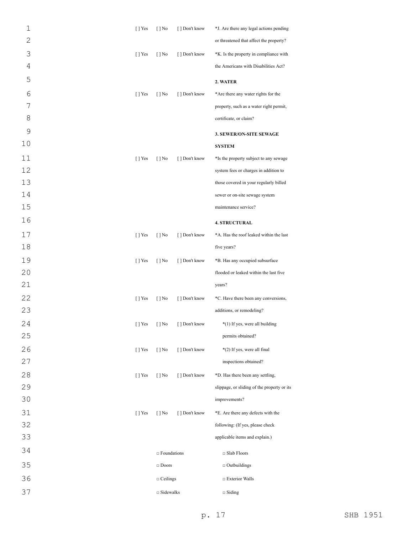| $\mathbf 1$    | $\lceil \cdot \rceil$ Yes | $[ ]$ No                 | [ ] Don't know | *J. Are there any legal actions pending     |
|----------------|---------------------------|--------------------------|----------------|---------------------------------------------|
| $\overline{2}$ |                           |                          |                | or threatened that affect the property?     |
| 3              | $[$ T Yes                 | $\lceil \cdot \rceil$ No | [ ] Don't know | *K. Is the property in compliance with      |
| 4              |                           |                          |                | the Americans with Disabilities Act?        |
| 5              |                           |                          |                | 2. WATER                                    |
| 6              | $[$ T Yes                 | $[$ ] No                 | [ ] Don't know | *Are there any water rights for the         |
| 7              |                           |                          |                | property, such as a water right permit,     |
| 8              |                           |                          |                | certificate, or claim?                      |
| 9              |                           |                          |                | 3. SEWER/ON-SITE SEWAGE                     |
| 10             |                           |                          |                | <b>SYSTEM</b>                               |
| 11             | [] Yes                    | $[$ ] No                 | [ ] Don't know | *Is the property subject to any sewage      |
| 12             |                           |                          |                | system fees or charges in addition to       |
| 13             |                           |                          |                | those covered in your regularly billed      |
| 14             |                           |                          |                | sewer or on-site sewage system              |
| 15             |                           |                          |                | maintenance service?                        |
| 16             |                           |                          |                | <b>4. STRUCTURAL</b>                        |
| 17             | $[$ ] Yes                 | $[$ ] No                 | [ ] Don't know | *A. Has the roof leaked within the last     |
| 18             |                           |                          |                | five years?                                 |
| 19             | $[$ T Yes                 | $[$ ] No                 | [ ] Don't know | *B. Has any occupied subsurface             |
| 20             |                           |                          |                | flooded or leaked within the last five      |
| 21             |                           |                          |                | years?                                      |
| 22             | $[ ]$ Yes                 | $[ ]$ No                 | [ ] Don't know | *C. Have there been any conversions,        |
| 23             |                           |                          |                | additions, or remodeling?                   |
| 24             | [ ] Yes                   | $\left[\ \right]$ No     | [ ] Don't know | *(1) If yes, were all building              |
| 25             |                           |                          |                | permits obtained?                           |
| 26             | [] Yes                    | $[$ ] No $\,$            | [] Don't know  | *(2) If yes, were all final                 |
| 27             |                           |                          |                | inspections obtained?                       |
| 28             | $[ ]$ Yes                 | $[ ]$ No                 | [ ] Don't know | *D. Has there been any settling,            |
| 29             |                           |                          |                | slippage, or sliding of the property or its |
| 30             |                           |                          |                | improvements?                               |
| 31             | [] Yes                    | $[$ ] No                 | [] Don't know  | *E. Are there any defects with the          |
| 32             |                           |                          |                | following: (If yes, please check            |
| 33             |                           |                          |                | applicable items and explain.)              |
| 34             |                           | $\Box$ Foundations       |                | □ Slab Floors                               |
| 35             |                           | $\Box$ Doors             |                | $\Box$ Outbuildings                         |
| 36             |                           | $\Box$ Ceilings          |                | □ Exterior Walls                            |
| 37             |                           | $\Box$ Sidewalks         |                | $\Box$ Siding                               |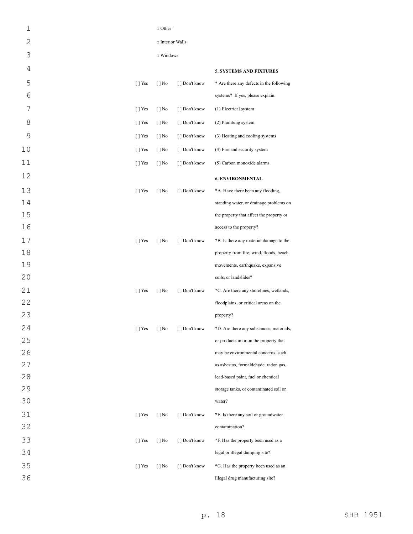| $\mathbf 1$ |                | $\Box$ Other             |                |                                          |
|-------------|----------------|--------------------------|----------------|------------------------------------------|
| $\mathbf 2$ |                | □ Interior Walls         |                |                                          |
| 3           |                | $\Box$ Windows           |                |                                          |
| 4           |                |                          |                | <b>5. SYSTEMS AND FIXTURES</b>           |
| 5           | $\lceil$   Yes | $[$   No                 | [] Don't know  | * Are there any defects in the following |
| 6           |                |                          |                | systems? If yes, please explain.         |
| 7           | $[$ T Yes      | $[$ ] No                 | [ ] Don't know | (1) Electrical system                    |
| 8           | $[$ T Yes      | $\lceil \cdot \rceil$ No | [ ] Don't know | (2) Plumbing system                      |
| 9           | [ ] Yes        | $\lceil \cdot \rceil$ No | [ ] Don't know | (3) Heating and cooling systems          |
| 10          | $[$ T Yes      | $[$ ] No                 | [ ] Don't know | (4) Fire and security system             |
| 11          | $[$ T Yes      | $\lceil \cdot \rceil$ No | [ ] Don't know | (5) Carbon monoxide alarms               |
| 12          |                |                          |                | <b>6. ENVIRONMENTAL</b>                  |
| 13          | $\lceil$   Yes | $\lceil \cdot \rceil$ No | [ ] Don't know | *A. Have there been any flooding,        |
| 14          |                |                          |                | standing water, or drainage problems on  |
| 15          |                |                          |                | the property that affect the property or |
| 16          |                |                          |                | access to the property?                  |
| 17          | $\lceil$   Yes | $\lceil \cdot \rceil$ No | [ ] Don't know | *B. Is there any material damage to the  |
| 18          |                |                          |                | property from fire, wind, floods, beach  |
| 19          |                |                          |                | movements, earthquake, expansive         |
| 20          |                |                          |                | soils, or landslides?                    |
| 21          | [ ] Yes        | $[$   No                 | [] Don't know  | *C. Are there any shorelines, wetlands,  |
| 22          |                |                          |                | floodplains, or critical areas on the    |
| 23          |                |                          |                | property?                                |
| 24          | [] Yes         | $[ ]$ No                 | [ ] Don't know | *D. Are there any substances, materials, |
| 25          |                |                          |                | or products in or on the property that   |
| 26          |                |                          |                | may be environmental concerns, such      |
| 27          |                |                          |                | as asbestos, formaldehyde, radon gas,    |
| 28          |                |                          |                | lead-based paint, fuel or chemical       |
| 29          |                |                          |                | storage tanks, or contaminated soil or   |
| 30          |                |                          |                | water?                                   |
| 31          | $\lceil$   Yes | $[$   No                 | [ ] Don't know | *E. Is there any soil or groundwater     |
| 32          |                |                          |                | contamination?                           |
| 33          | [] Yes         | $[$   No                 | [ ] Don't know | *F. Has the property been used as a      |
| 34          |                |                          |                | legal or illegal dumping site?           |
| 35          | $[ ]$ Yes      | $\lceil \cdot \rceil$ No | [] Don't know  | *G. Has the property been used as an     |
| 36          |                |                          |                | illegal drug manufacturing site?         |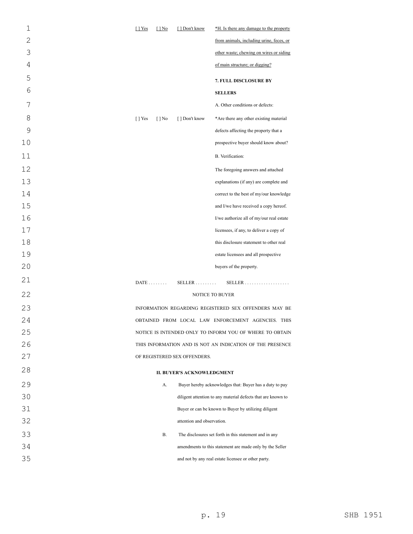| 1              | $\Box$ Yes                | $\Box$ No                | [] Don't know                     | *H. Is there any damage to the property                      |
|----------------|---------------------------|--------------------------|-----------------------------------|--------------------------------------------------------------|
| $\overline{2}$ |                           |                          |                                   | from animals, including urine, feces, or                     |
| 3              |                           |                          |                                   | other waste; chewing on wires or siding                      |
| 4              |                           |                          |                                   | of main structure; or digging?                               |
| 5              |                           |                          |                                   | 7. FULL DISCLOSURE BY                                        |
| 6              |                           |                          |                                   | <b>SELLERS</b>                                               |
| 7              |                           |                          |                                   | A. Other conditions or defects:                              |
| 8              | $\lceil \cdot \rceil$ Yes | $\lceil \cdot \rceil$ No | [ ] Don't know                    | *Are there any other existing material                       |
| 9              |                           |                          |                                   | defects affecting the property that a                        |
| 10             |                           |                          |                                   | prospective buyer should know about?                         |
| 11             |                           |                          |                                   | B. Verification:                                             |
| 12             |                           |                          |                                   | The foregoing answers and attached                           |
| 13             |                           |                          |                                   | explanations (if any) are complete and                       |
| 14             |                           |                          |                                   | correct to the best of my/our knowledge                      |
| 15             |                           |                          |                                   | and I/we have received a copy hereof.                        |
| 16             |                           |                          |                                   | I/we authorize all of my/our real estate                     |
| 17             |                           |                          |                                   | licensees, if any, to deliver a copy of                      |
| 18             |                           |                          |                                   | this disclosure statement to other real                      |
| 19             |                           |                          |                                   | estate licensees and all prospective                         |
| 20             |                           |                          |                                   | buyers of the property.                                      |
| 21             | $DATE$                    |                          | $SELECT R$                        | $SELECT R$                                                   |
| 22             |                           |                          |                                   | NOTICE TO BUYER                                              |
| 23             |                           |                          |                                   | INFORMATION REGARDING REGISTERED SEX OFFENDERS MAY BE        |
| 24             |                           |                          |                                   | OBTAINED FROM LOCAL LAW ENFORCEMENT AGENCIES. THIS           |
| 25             |                           |                          |                                   | NOTICE IS INTENDED ONLY TO INFORM YOU OF WHERE TO OBTAIN     |
| 26             |                           |                          |                                   | THIS INFORMATION AND IS NOT AN INDICATION OF THE PRESENCE    |
| 27             |                           |                          | OF REGISTERED SEX OFFENDERS.      |                                                              |
| 28             |                           |                          | <b>II. BUYER'S ACKNOWLEDGMENT</b> |                                                              |
| 29             |                           | А.                       |                                   | Buyer hereby acknowledges that: Buyer has a duty to pay      |
| 30             |                           |                          |                                   | diligent attention to any material defects that are known to |
| 31             |                           |                          |                                   | Buyer or can be known to Buyer by utilizing diligent         |
| 32             |                           |                          | attention and observation.        |                                                              |
| 33             |                           | <b>B.</b>                |                                   | The disclosures set forth in this statement and in any       |
| 34             |                           |                          |                                   | amendments to this statement are made only by the Seller     |
| 35             |                           |                          |                                   | and not by any real estate licensee or other party.          |
|                |                           |                          |                                   |                                                              |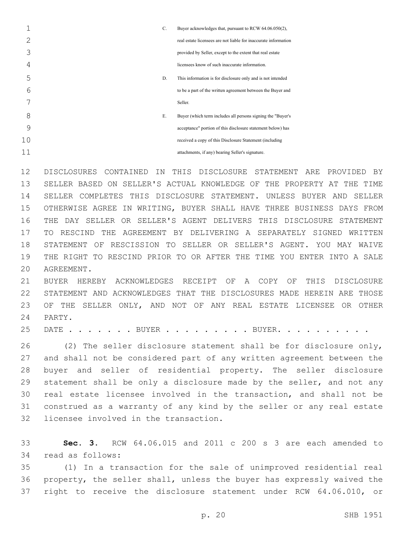|    | C. | Buyer acknowledges that, pursuant to RCW 64.06.050(2),          |
|----|----|-----------------------------------------------------------------|
|    |    | real estate licensees are not liable for inaccurate information |
| 3  |    | provided by Seller, except to the extent that real estate       |
| 4  |    | licensees know of such inaccurate information.                  |
| 5  | D. | This information is for disclosure only and is not intended     |
| 6  |    | to be a part of the written agreement between the Buyer and     |
|    |    | Seller.                                                         |
| 8  | Е. | Buyer (which term includes all persons signing the "Buyer's     |
| 9  |    | acceptance" portion of this disclosure statement below) has     |
| 10 |    | received a copy of this Disclosure Statement (including         |
| 11 |    | attachments, if any) bearing Seller's signature.                |

 DISCLOSURES CONTAINED IN THIS DISCLOSURE STATEMENT ARE PROVIDED BY SELLER BASED ON SELLER'S ACTUAL KNOWLEDGE OF THE PROPERTY AT THE TIME SELLER COMPLETES THIS DISCLOSURE STATEMENT. UNLESS BUYER AND SELLER OTHERWISE AGREE IN WRITING, BUYER SHALL HAVE THREE BUSINESS DAYS FROM THE DAY SELLER OR SELLER'S AGENT DELIVERS THIS DISCLOSURE STATEMENT TO RESCIND THE AGREEMENT BY DELIVERING A SEPARATELY SIGNED WRITTEN STATEMENT OF RESCISSION TO SELLER OR SELLER'S AGENT. YOU MAY WAIVE THE RIGHT TO RESCIND PRIOR TO OR AFTER THE TIME YOU ENTER INTO A SALE 20 AGREEMENT.

 BUYER HEREBY ACKNOWLEDGES RECEIPT OF A COPY OF THIS DISCLOSURE STATEMENT AND ACKNOWLEDGES THAT THE DISCLOSURES MADE HEREIN ARE THOSE OF THE SELLER ONLY, AND NOT OF ANY REAL ESTATE LICENSEE OR OTHER 24 PARTY.

25 DATE . . . . . . BUYER . . . . . . . BUYER. . . . . . . . . .

 (2) The seller disclosure statement shall be for disclosure only, and shall not be considered part of any written agreement between the buyer and seller of residential property. The seller disclosure statement shall be only a disclosure made by the seller, and not any real estate licensee involved in the transaction, and shall not be construed as a warranty of any kind by the seller or any real estate 32 licensee involved in the transaction.

 **Sec. 3.** RCW 64.06.015 and 2011 c 200 s 3 are each amended to 34 read as follows:

 (1) In a transaction for the sale of unimproved residential real property, the seller shall, unless the buyer has expressly waived the right to receive the disclosure statement under RCW 64.06.010, or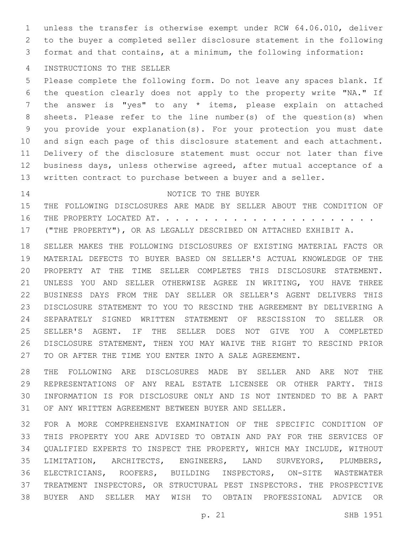unless the transfer is otherwise exempt under RCW 64.06.010, deliver to the buyer a completed seller disclosure statement in the following format and that contains, at a minimum, the following information:

4 INSTRUCTIONS TO THE SELLER

 Please complete the following form. Do not leave any spaces blank. If the question clearly does not apply to the property write "NA." If the answer is "yes" to any \* items, please explain on attached sheets. Please refer to the line number(s) of the question(s) when you provide your explanation(s). For your protection you must date and sign each page of this disclosure statement and each attachment. Delivery of the disclosure statement must occur not later than five business days, unless otherwise agreed, after mutual acceptance of a written contract to purchase between a buyer and a seller.

## 14 NOTICE TO THE BUYER

 THE FOLLOWING DISCLOSURES ARE MADE BY SELLER ABOUT THE CONDITION OF THE PROPERTY LOCATED AT. . . . . . . . . . . . . . . . . . . . . . .

("THE PROPERTY"), OR AS LEGALLY DESCRIBED ON ATTACHED EXHIBIT A.

 SELLER MAKES THE FOLLOWING DISCLOSURES OF EXISTING MATERIAL FACTS OR MATERIAL DEFECTS TO BUYER BASED ON SELLER'S ACTUAL KNOWLEDGE OF THE PROPERTY AT THE TIME SELLER COMPLETES THIS DISCLOSURE STATEMENT. UNLESS YOU AND SELLER OTHERWISE AGREE IN WRITING, YOU HAVE THREE BUSINESS DAYS FROM THE DAY SELLER OR SELLER'S AGENT DELIVERS THIS DISCLOSURE STATEMENT TO YOU TO RESCIND THE AGREEMENT BY DELIVERING A SEPARATELY SIGNED WRITTEN STATEMENT OF RESCISSION TO SELLER OR SELLER'S AGENT. IF THE SELLER DOES NOT GIVE YOU A COMPLETED DISCLOSURE STATEMENT, THEN YOU MAY WAIVE THE RIGHT TO RESCIND PRIOR TO OR AFTER THE TIME YOU ENTER INTO A SALE AGREEMENT.

 THE FOLLOWING ARE DISCLOSURES MADE BY SELLER AND ARE NOT THE REPRESENTATIONS OF ANY REAL ESTATE LICENSEE OR OTHER PARTY. THIS INFORMATION IS FOR DISCLOSURE ONLY AND IS NOT INTENDED TO BE A PART OF ANY WRITTEN AGREEMENT BETWEEN BUYER AND SELLER.

 FOR A MORE COMPREHENSIVE EXAMINATION OF THE SPECIFIC CONDITION OF THIS PROPERTY YOU ARE ADVISED TO OBTAIN AND PAY FOR THE SERVICES OF QUALIFIED EXPERTS TO INSPECT THE PROPERTY, WHICH MAY INCLUDE, WITHOUT LIMITATION, ARCHITECTS, ENGINEERS, LAND SURVEYORS, PLUMBERS, ELECTRICIANS, ROOFERS, BUILDING INSPECTORS, ON-SITE WASTEWATER TREATMENT INSPECTORS, OR STRUCTURAL PEST INSPECTORS. THE PROSPECTIVE BUYER AND SELLER MAY WISH TO OBTAIN PROFESSIONAL ADVICE OR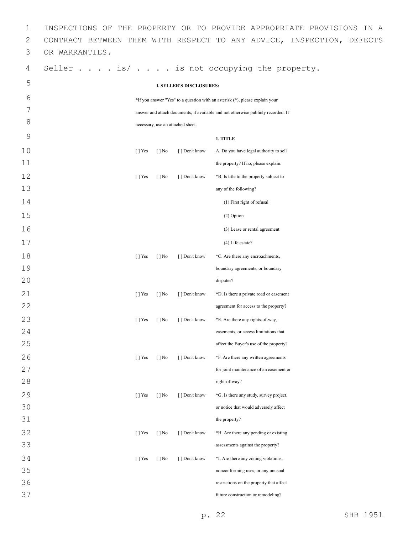| 1  |                                                                              |                           |                          |                                   | INSPECTIONS OF THE PROPERTY OR TO PROVIDE APPROPRIATE PROVISIONS IN A             |  |  |  |  |
|----|------------------------------------------------------------------------------|---------------------------|--------------------------|-----------------------------------|-----------------------------------------------------------------------------------|--|--|--|--|
| 2  |                                                                              |                           |                          |                                   | CONTRACT BETWEEN THEM WITH RESPECT TO ANY ADVICE, INSPECTION, DEFECTS             |  |  |  |  |
| 3  | OR WARRANTIES.                                                               |                           |                          |                                   |                                                                                   |  |  |  |  |
| 4  |                                                                              |                           |                          |                                   | Seller $\ldots$ is/ $\ldots$ is not occupying the property.                       |  |  |  |  |
| 5  |                                                                              |                           |                          | <b>I. SELLER'S DISCLOSURES:</b>   |                                                                                   |  |  |  |  |
| 6  | *If you answer "Yes" to a question with an asterisk (*), please explain your |                           |                          |                                   |                                                                                   |  |  |  |  |
| 7  |                                                                              |                           |                          |                                   | answer and attach documents, if available and not otherwise publicly recorded. If |  |  |  |  |
| 8  |                                                                              |                           |                          | necessary, use an attached sheet. |                                                                                   |  |  |  |  |
| 9  |                                                                              |                           |                          |                                   | 1. TITLE                                                                          |  |  |  |  |
| 10 |                                                                              | $\lceil \cdot \rceil$ Yes | $\lceil \cdot \rceil$ No | [ ] Don't know                    | A. Do you have legal authority to sell                                            |  |  |  |  |
| 11 |                                                                              |                           |                          |                                   | the property? If no, please explain.                                              |  |  |  |  |
| 12 |                                                                              | $\lceil \cdot \rceil$ Yes | $\lceil \cdot \rceil$ No | [ ] Don't know                    | *B. Is title to the property subject to                                           |  |  |  |  |
| 13 |                                                                              |                           |                          |                                   | any of the following?                                                             |  |  |  |  |
| 14 |                                                                              |                           |                          |                                   | (1) First right of refusal                                                        |  |  |  |  |
| 15 |                                                                              |                           |                          |                                   | (2) Option                                                                        |  |  |  |  |
| 16 |                                                                              |                           |                          |                                   | (3) Lease or rental agreement                                                     |  |  |  |  |
| 17 |                                                                              |                           |                          |                                   | (4) Life estate?                                                                  |  |  |  |  |
| 18 |                                                                              | $\lceil$   Yes            | $\lceil \cdot \rceil$ No | [ ] Don't know                    | *C. Are there any encroachments,                                                  |  |  |  |  |
| 19 |                                                                              |                           |                          |                                   | boundary agreements, or boundary                                                  |  |  |  |  |
| 20 |                                                                              |                           |                          |                                   | disputes?                                                                         |  |  |  |  |
| 21 |                                                                              | $[$ T Yes                 | $\lceil \cdot \rceil$ No | [ ] Don't know                    | *D. Is there a private road or easement                                           |  |  |  |  |
| 22 |                                                                              |                           |                          |                                   | agreement for access to the property?                                             |  |  |  |  |
| 23 |                                                                              | $[$ T Yes                 | $[ ]$ No                 | [] Don't know                     | *E. Are there any rights-of-way,                                                  |  |  |  |  |
| 24 |                                                                              |                           |                          |                                   | easements, or access limitations that                                             |  |  |  |  |
| 25 |                                                                              |                           |                          |                                   | affect the Buyer's use of the property?                                           |  |  |  |  |
| 26 |                                                                              | $\lceil$   Yes            | $[$   No                 | [ ] Don't know                    | *F. Are there any written agreements                                              |  |  |  |  |
| 27 |                                                                              |                           |                          |                                   | for joint maintenance of an easement or                                           |  |  |  |  |
| 28 |                                                                              |                           |                          |                                   | right-of-way?                                                                     |  |  |  |  |
| 29 |                                                                              | $\lceil \cdot \rceil$ Yes | $[$   No                 | [ ] Don't know                    | *G. Is there any study, survey project,                                           |  |  |  |  |
| 30 |                                                                              |                           |                          |                                   | or notice that would adversely affect                                             |  |  |  |  |
| 31 |                                                                              |                           |                          |                                   | the property?                                                                     |  |  |  |  |
| 32 |                                                                              | $\lceil$   Yes            | $[$   No                 | [ ] Don't know                    | *H. Are there any pending or existing                                             |  |  |  |  |
| 33 |                                                                              |                           |                          |                                   | assessments against the property?                                                 |  |  |  |  |
| 34 |                                                                              | $\lceil$   Yes            | $[$   No                 | [ ] Don't know                    | *I. Are there any zoning violations,                                              |  |  |  |  |
| 35 |                                                                              |                           |                          |                                   | nonconforming uses, or any unusual                                                |  |  |  |  |
| 36 |                                                                              |                           |                          |                                   | restrictions on the property that affect                                          |  |  |  |  |
| 37 |                                                                              |                           |                          |                                   | future construction or remodeling?                                                |  |  |  |  |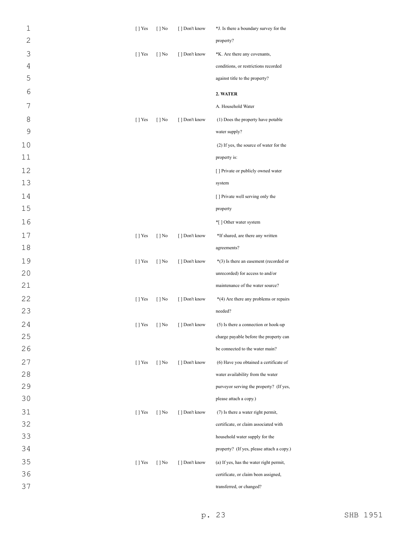| $\mathbf 1$ | [] Yes             | $\lceil \cdot \rceil$ No | [ ] Don't know | *J. Is there a boundary survey for the    |
|-------------|--------------------|--------------------------|----------------|-------------------------------------------|
| 2           |                    |                          |                | property?                                 |
| 3           | $[$ ] Yes          | $\lceil \cdot \rceil$ No | [ ] Don't know | *K. Are there any covenants,              |
| 4           |                    |                          |                | conditions, or restrictions recorded      |
| 5           |                    |                          |                | against title to the property?            |
| 6           |                    |                          |                | 2. WATER                                  |
| 7           |                    |                          |                | A. Household Water                        |
| 8           | [] Yes             | $\lceil \cdot \rceil$ No | [ ] Don't know | (1) Does the property have potable        |
| 9           |                    |                          |                | water supply?                             |
| 10          |                    |                          |                | (2) If yes, the source of water for the   |
| 11          |                    |                          |                | property is:                              |
| 12          |                    |                          |                | [] Private or publicly owned water        |
| 13          |                    |                          |                | system                                    |
| 14          |                    |                          |                | [] Private well serving only the          |
| 15          |                    |                          |                | property                                  |
| 16          |                    |                          |                | *[] Other water system                    |
| 17          | $[$ T Yes          | $[ ]$ No                 | [] Don't know  | *If shared, are there any written         |
| 18          |                    |                          |                | agreements?                               |
| 19          | $[$ T Yes          | $[ ]$ No                 | [ ] Don't know | *(3) Is there an easement (recorded or    |
| 20          |                    |                          |                | unrecorded) for access to and/or          |
| 21          |                    |                          |                | maintenance of the water source?          |
| 22          | [] Yes             | $[ ]$ No                 | [ ] Don't know | *(4) Are there any problems or repairs    |
| 23          |                    |                          |                | needed?                                   |
| 24          | $[ ]$ Yes $[ ]$ No |                          | [ ] Don't know | (5) Is there a connection or hook-up      |
| 25          |                    |                          |                | charge payable before the property can    |
| 26          |                    |                          |                | be connected to the water main?           |
| 27          | $[$ T Yes          | $[$ ] No                 | [ ] Don't know | (6) Have you obtained a certificate of    |
| 28          |                    |                          |                | water availability from the water         |
| 29          |                    |                          |                | purveyor serving the property? (If yes,   |
| 30          |                    |                          |                | please attach a copy.)                    |
| 31          | $[$ T Yes          | $[$ ] No                 | [ ] Don't know | (7) Is there a water right permit,        |
| 32          |                    |                          |                | certificate, or claim associated with     |
| 33          |                    |                          |                | household water supply for the            |
| 34          |                    |                          |                | property? (If yes, please attach a copy.) |
| 35          | $[$ T Yes          | $\lceil \cdot \rceil$ No | [ ] Don't know | (a) If yes, has the water right permit,   |
| 36          |                    |                          |                | certificate, or claim been assigned,      |
| 37          |                    |                          |                | transferred, or changed?                  |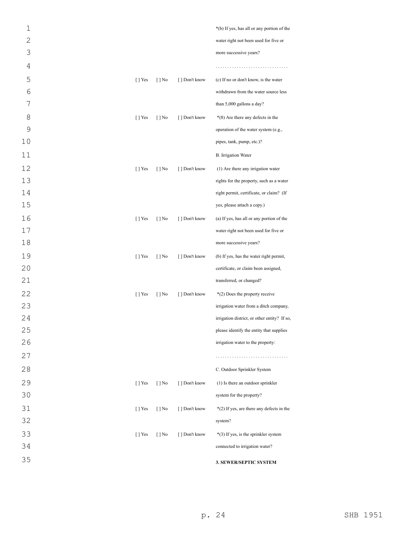| $\mathbf 1$  |           |                          |                | *(b) If yes, has all or any portion of the   |
|--------------|-----------|--------------------------|----------------|----------------------------------------------|
| $\mathbf{2}$ |           |                          |                | water right not been used for five or        |
| 3            |           |                          |                | more successive years?                       |
| 4            |           |                          |                |                                              |
| 5            | $[$ T Yes | $[ ]$ No                 | [ ] Don't know | (c) If no or don't know, is the water        |
| 6            |           |                          |                | withdrawn from the water source less         |
| 7            |           |                          |                | than 5,000 gallons a day?                    |
| 8            | $[$ T Yes | $[ ]$ No                 | [] Don't know  | *(8) Are there any defects in the            |
| 9            |           |                          |                | operation of the water system (e.g.,         |
| 10           |           |                          |                | pipes, tank, pump, etc.)?                    |
| 11           |           |                          |                | <b>B.</b> Irrigation Water                   |
| 12           | $[$ T Yes | $[ ]$ No                 | [ ] Don't know | (1) Are there any irrigation water           |
| 13           |           |                          |                | rights for the property, such as a water     |
| 14           |           |                          |                | right permit, certificate, or claim? (If     |
| 15           |           |                          |                | yes, please attach a copy.)                  |
| 16           | $[$ T Yes | $[$ ] No                 | [] Don't know  | (a) If yes, has all or any portion of the    |
| 17           |           |                          |                | water right not been used for five or        |
| 18           |           |                          |                | more successive years?                       |
| 19           | $[$ T Yes | $[ ]$ No                 | [] Don't know  | (b) If yes, has the water right permit,      |
| 20           |           |                          |                | certificate, or claim been assigned,         |
| 21           |           |                          |                | transferred, or changed?                     |
| 22           | $[$ T Yes | $[ ]$ No                 | [ ] Don't know | *(2) Does the property receive               |
| 23           |           |                          |                | irrigation water from a ditch company,       |
| 24           |           |                          |                | irrigation district, or other entity? If so, |
| 25           |           |                          |                | please identify the entity that supplies     |
| 26           |           |                          |                | irrigation water to the property:            |
| 27           |           |                          |                |                                              |
| 28           |           |                          |                | C. Outdoor Sprinkler System                  |
| 29           | $[$ ] Yes | $\lceil \cdot \rceil$ No | [ ] Don't know | (1) Is there an outdoor sprinkler            |
| 30           |           |                          |                | system for the property?                     |
| 31           | $[$ ] Yes | $[ ]$ No                 | [] Don't know  | $*(2)$ If yes, are there any defects in the  |
| 32           |           |                          |                | system?                                      |
| 33           | $[$ ] Yes | $[$ ] No                 | [ ] Don't know | *(3) If yes, is the sprinkler system         |
| 34           |           |                          |                | connected to irrigation water?               |
| 35           |           |                          |                | 3. SEWER/SEPTIC SYSTEM                       |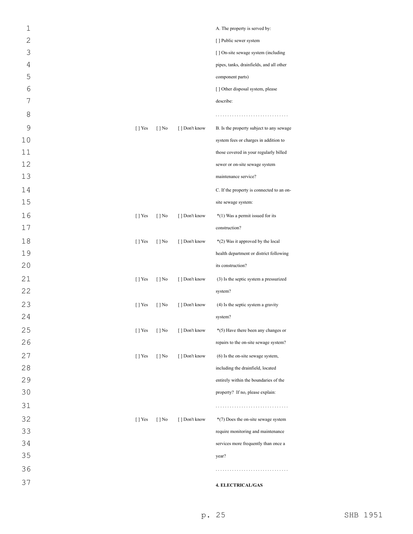| $\mathbf 1$    |           |          |                | A. The property is served by:             |
|----------------|-----------|----------|----------------|-------------------------------------------|
| $\overline{2}$ |           |          |                | [] Public sewer system                    |
| 3              |           |          |                | [] On-site sewage system (including       |
| $\overline{4}$ |           |          |                | pipes, tanks, drainfields, and all other  |
| 5              |           |          |                | component parts)                          |
| 6              |           |          |                | [] Other disposal system, please          |
| 7              |           |          |                | describe:                                 |
| 8              |           |          |                |                                           |
| 9              | [] Yes    | $[ ]$ No | [ ] Don't know | B. Is the property subject to any sewage  |
| 10             |           |          |                | system fees or charges in addition to     |
| 11             |           |          |                | those covered in your regularly billed    |
| 12             |           |          |                | sewer or on-site sewage system            |
| 13             |           |          |                | maintenance service?                      |
| 14             |           |          |                | C. If the property is connected to an on- |
| 15             |           |          |                | site sewage system:                       |
| 16             | $[$ ] Yes | $[ ]$ No | [ ] Don't know | *(1) Was a permit issued for its          |
| 17             |           |          |                | construction?                             |
| 18             | $[$ ] Yes | $[ ]$ No | [ ] Don't know | *(2) Was it approved by the local         |
| 19             |           |          |                | health department or district following   |
| 20             |           |          |                | its construction?                         |
| 21             | $[$ ] Yes | $[ ]$ No | [ ] Don't know | (3) Is the septic system a pressurized    |
| 22             |           |          |                | system?                                   |
| 23             | $[$ T Yes | $[ ]$ No | [ ] Don't know | (4) Is the septic system a gravity        |
| 24             |           |          |                | system?                                   |
| 25             | $[$ ] Yes | $[ ]$ No | [ ] Don't know | *(5) Have there been any changes or       |
| 26             |           |          |                | repairs to the on-site sewage system?     |
| 27             | $[$ T Yes | $[ ]$ No | [ ] Don't know | (6) Is the on-site sewage system,         |
| 28             |           |          |                | including the drainfield, located         |
| 29             |           |          |                | entirely within the boundaries of the     |
| 30             |           |          |                | property? If no, please explain:          |
| 31             |           |          |                |                                           |
| 32             | $[$ ] Yes | $[ ]$ No | [ ] Don't know | *(7) Does the on-site sewage system       |
| 33             |           |          |                | require monitoring and maintenance        |
| 34             |           |          |                | services more frequently than once a      |
| 35             |           |          |                | year?                                     |
| 36             |           |          |                |                                           |
| 37             |           |          |                | <b>4. ELECTRICAL/GAS</b>                  |
|                |           |          |                |                                           |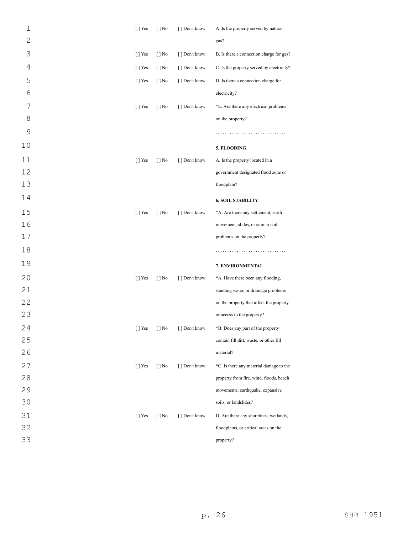| $\mathbf 1$     | $[$ T Yes | $[$ ] No                 | [ ] Don't know | A. Is the property served by natural      |
|-----------------|-----------|--------------------------|----------------|-------------------------------------------|
| 2               |           |                          |                | gas?                                      |
| 3               | $[$ T Yes | $\lceil \cdot \rceil$ No | [ ] Don't know | B. Is there a connection charge for gas?  |
| $\overline{4}$  | $[$ T Yes | $[$ ] No                 | [ ] Don't know | C. Is the property served by electricity? |
| 5               | $[$ T Yes | $[$ ] No                 | [ ] Don't know | D. Is there a connection charge for       |
| $6\phantom{1}6$ |           |                          |                | electricity?                              |
| 7               | [ ] Yes   | $[$ ] No                 | [ ] Don't know | *E. Are there any electrical problems     |
| 8               |           |                          |                | on the property?                          |
| 9               |           |                          |                |                                           |
| 10              |           |                          |                | 5. FLOODING                               |
| 11              | $[$ ] Yes | $[ ]$ No                 | [] Don't know  | A. Is the property located in a           |
| 12              |           |                          |                | government designated flood zone or       |
| 13              |           |                          |                | floodplain?                               |
| 14              |           |                          |                | <b>6. SOIL STABILITY</b>                  |
| 15              | $[$ T Yes | $[ ]$ No                 | [ ] Don't know | *A. Are there any settlement, earth       |
| 16              |           |                          |                | movement, slides, or similar soil         |
| 17              |           |                          |                | problems on the property?                 |
| 18              |           |                          |                |                                           |
| 19              |           |                          |                | 7. ENVIRONMENTAL                          |
| 20              | $[$ T Yes | $[ ]$ No                 | [ ] Don't know | *A. Have there been any flooding,         |
| 21              |           |                          |                | standing water, or drainage problems      |
| 22              |           |                          |                | on the property that affect the property  |
| 23              |           |                          |                | or access to the property?                |
| 24              | [] Yes    | $[ ]$ No                 | [] Don't know  | *B. Does any part of the property         |
| 25              |           |                          |                | contain fill dirt, waste, or other fill   |
| 26              |           |                          |                | material?                                 |
| 27              | $[$ T Yes | $\lceil \cdot \rceil$ No | [ ] Don't know | *C. Is there any material damage to the   |
| 28              |           |                          |                | property from fire, wind, floods, beach   |
| 29              |           |                          |                | movements, earthquake, expansive          |
| 30              |           |                          |                | soils, or landslides?                     |
| 31              | $[$ T Yes | $[ ]$ No                 | [ ] Don't know | D. Are there any shorelines, wetlands,    |
| 32              |           |                          |                | floodplains, or critical areas on the     |
| 33              |           |                          |                | property?                                 |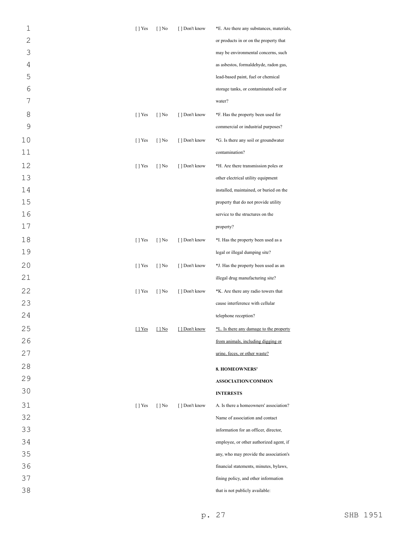| $\mathbf 1$    | [] Yes                | $[$   No                 | [] Don't know  | *E. Are there any substances, materials, |
|----------------|-----------------------|--------------------------|----------------|------------------------------------------|
| $\overline{2}$ |                       |                          |                | or products in or on the property that   |
| 3              |                       |                          |                | may be environmental concerns, such      |
| $\overline{4}$ |                       |                          |                | as asbestos, formaldehyde, radon gas,    |
| 5              |                       |                          |                | lead-based paint, fuel or chemical       |
| 6              |                       |                          |                | storage tanks, or contaminated soil or   |
| 7              |                       |                          |                | water?                                   |
| 8              | $[$ T Yes             | $[ ]$ No                 | [ ] Don't know | *F. Has the property been used for       |
| 9              |                       |                          |                | commercial or industrial purposes?       |
| 10             | $[$ T Yes             | $\lceil \cdot \rceil$ No | [ ] Don't know | *G. Is there any soil or groundwater     |
| 11             |                       |                          |                | contamination?                           |
| 12             | $\left[\ \right]$ Yes | $[$   No                 | [ ] Don't know | *H. Are there transmission poles or      |
| 13             |                       |                          |                | other electrical utility equipment       |
| 14             |                       |                          |                | installed, maintained, or buried on the  |
| 15             |                       |                          |                | property that do not provide utility     |
| 16             |                       |                          |                | service to the structures on the         |
| 17             |                       |                          |                | property?                                |
| 18             | $[ ]$ Yes             | $[$   No                 | [ ] Don't know | *I. Has the property been used as a      |
| 19             |                       |                          |                | legal or illegal dumping site?           |
| 20             | [] Yes                | $\lceil \cdot \rceil$ No | [] Don't know  | *J. Has the property been used as an     |
| 21             |                       |                          |                | illegal drug manufacturing site?         |
| 22             | $[$ T Yes             | $\lceil \cdot \rceil$ No | [ ] Don't know | *K. Are there any radio towers that      |
| 23             |                       |                          |                | cause interference with cellular         |
| 24             |                       |                          |                | telephone reception?                     |
| 25             | $\Box$ Yes            | $\Box$ No                | [] Don't know  | *L. Is there any damage to the property  |
| 26             |                       |                          |                | from animals, including digging or       |
| 27             |                       |                          |                | urine, feces, or other waste?            |
| 28             |                       |                          |                | <b>8. HOMEOWNERS'</b>                    |
| 29             |                       |                          |                | ASSOCIATION/COMMON                       |
| 30             |                       |                          |                | <b>INTERESTS</b>                         |
| 31             | [] Yes                | $[$   No                 | [ ] Don't know | A. Is there a homeowners' association?   |
| 32             |                       |                          |                | Name of association and contact          |
| 33             |                       |                          |                | information for an officer, director,    |
| 34             |                       |                          |                | employee, or other authorized agent, if  |
| 35             |                       |                          |                | any, who may provide the association's   |
| 36             |                       |                          |                | financial statements, minutes, bylaws,   |
| 37             |                       |                          |                | fining policy, and other information     |
| 38             |                       |                          |                | that is not publicly available:          |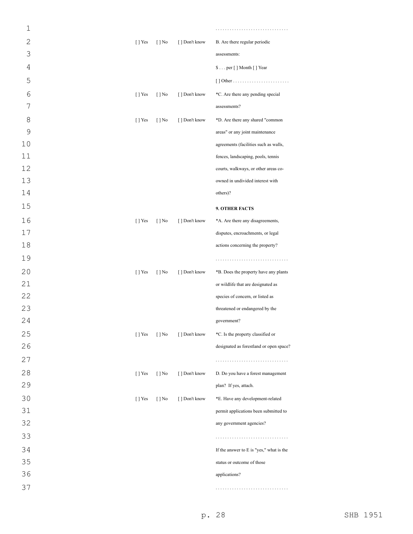| $\mathbf 1$    |           |                          |                |                                            |
|----------------|-----------|--------------------------|----------------|--------------------------------------------|
| $\overline{2}$ | [] Yes    | $[ ]$ No                 | [ ] Don't know | B. Are there regular periodic              |
| 3              |           |                          |                | assessments:                               |
| 4              |           |                          |                | \$ per [ ] Month [ ] Year                  |
| 5              |           |                          |                |                                            |
| 6              | $[$ ] Yes | $[ ]$ No                 | [ ] Don't know | *C. Are there any pending special          |
| 7              |           |                          |                | assessments?                               |
| 8              | $[$ T Yes | $\lceil \cdot \rceil$ No | [ ] Don't know | *D. Are there any shared "common"          |
| 9              |           |                          |                | areas" or any joint maintenance            |
| 10             |           |                          |                | agreements (facilities such as walls,      |
| 11             |           |                          |                | fences, landscaping, pools, tennis         |
| 12             |           |                          |                | courts, walkways, or other areas co-       |
| 13             |           |                          |                | owned in undivided interest with           |
| 14             |           |                          |                | others)?                                   |
| 15             |           |                          |                | <b>9. OTHER FACTS</b>                      |
| 16             | $[$ T Yes | $\lceil \cdot \rceil$ No | [] Don't know  | *A. Are there any disagreements,           |
| 17             |           |                          |                | disputes, encroachments, or legal          |
| 18             |           |                          |                | actions concerning the property?           |
| 19             |           |                          |                |                                            |
| 20             | $[$ ] Yes | $[ ]$ No                 | [ ] Don't know | *B. Does the property have any plants      |
| 21             |           |                          |                | or wildlife that are designated as         |
| 22             |           |                          |                | species of concern, or listed as           |
| 23             |           |                          |                | threatened or endangered by the            |
| 24             |           |                          |                | government?                                |
| 25             | $[$ ] Yes | $[ ]$ No                 | [ ] Don't know | *C. Is the property classified or          |
| 26             |           |                          |                | designated as forestland or open space?    |
| 27             |           |                          |                |                                            |
| 28             | $[$ ] Yes | $[ ]$ No                 | [ ] Don't know | D. Do you have a forest management         |
| 29             |           |                          |                | plan? If yes, attach.                      |
| 30             | $[$ ] Yes | $[ ]$ No                 | [ ] Don't know | *E. Have any development-related           |
| 31             |           |                          |                | permit applications been submitted to      |
| 32             |           |                          |                | any government agencies?                   |
| 33             |           |                          |                |                                            |
| 34             |           |                          |                | If the answer to $E$ is "yes," what is the |
| 35             |           |                          |                | status or outcome of those                 |
| 36             |           |                          |                | applications?                              |
| 37             |           |                          |                |                                            |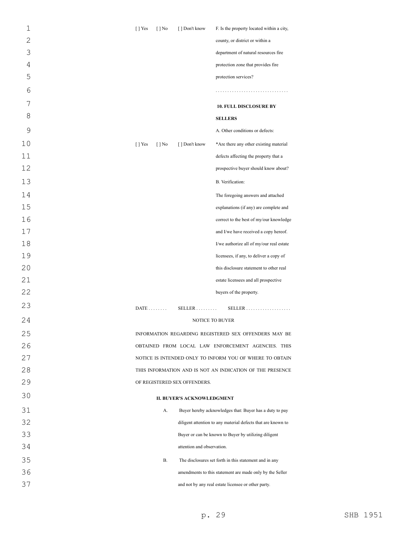| $\mathbf 1$    | $\lceil$   Yes<br>[ ] Don't know<br>F. Is the property located within a city,<br>$[$   No |
|----------------|-------------------------------------------------------------------------------------------|
| $\overline{2}$ | county, or district or within a                                                           |
| 3              | department of natural resources fire                                                      |
| $\overline{4}$ | protection zone that provides fire                                                        |
| 5              | protection services?                                                                      |
| 6              |                                                                                           |
| 7              | <b>10. FULL DISCLOSURE BY</b>                                                             |
| 8              | <b>SELLERS</b>                                                                            |
| 9              | A. Other conditions or defects:                                                           |
| 10             | $\lceil$   Yes<br>*Are there any other existing material<br>$[$   No<br>[] Don't know     |
| 11             | defects affecting the property that a                                                     |
| 12             | prospective buyer should know about?                                                      |
| 13             | B. Verification:                                                                          |
| 14             | The foregoing answers and attached                                                        |
| 15             | explanations (if any) are complete and                                                    |
| 16             | correct to the best of my/our knowledge                                                   |
| 17             | and I/we have received a copy hereof.                                                     |
| 18             | I/we authorize all of my/our real estate                                                  |
| 19             | licensees, if any, to deliver a copy of                                                   |
| 20             | this disclosure statement to other real                                                   |
| 21             | estate licensees and all prospective                                                      |
| 22             | buyers of the property.                                                                   |
| 23             | $DATE$<br>$SELECT R$<br>$SELECT R$                                                        |
| 24             | NOTICE TO BUYER                                                                           |
| 25             | INFORMATION REGARDING REGISTERED SEX OFFENDERS MAY BE                                     |
| 26             | OBTAINED FROM LOCAL LAW ENFORCEMENT AGENCIES. THIS                                        |
| 27             | NOTICE IS INTENDED ONLY TO INFORM YOU OF WHERE TO OBTAIN                                  |
| 28             | THIS INFORMATION AND IS NOT AN INDICATION OF THE PRESENCE                                 |
| 29             | OF REGISTERED SEX OFFENDERS.                                                              |
| 30             | <b>II. BUYER'S ACKNOWLEDGMENT</b>                                                         |
| 31             | Buyer hereby acknowledges that: Buyer has a duty to pay<br>А.                             |
| 32             | diligent attention to any material defects that are known to                              |
| 33             | Buyer or can be known to Buyer by utilizing diligent                                      |
| 34             | attention and observation.                                                                |
| 35             | В.<br>The disclosures set forth in this statement and in any                              |
| 36             | amendments to this statement are made only by the Seller                                  |
| 37             | and not by any real estate licensee or other party.                                       |